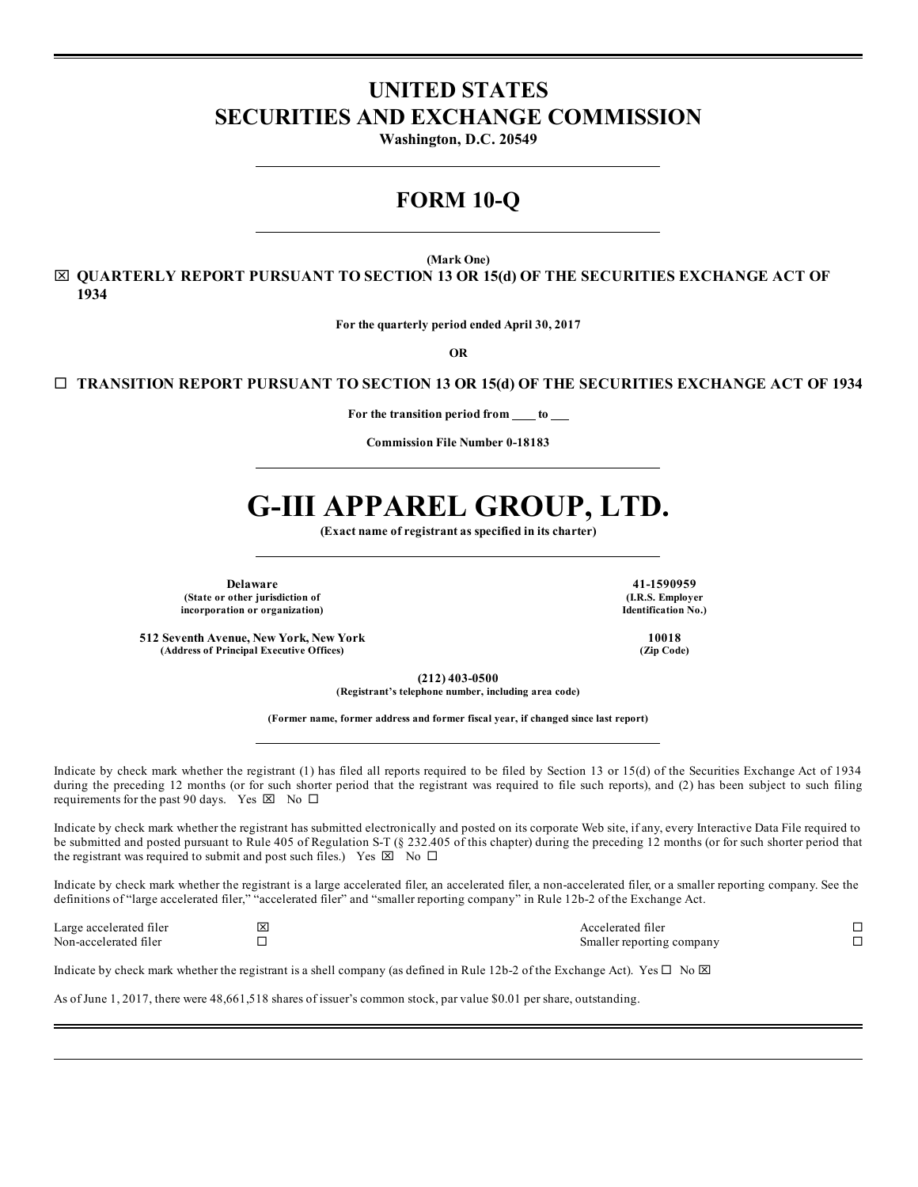## **UNITED STATES SECURITIES AND EXCHANGE COMMISSION**

**Washington, D.C. 20549**

# **FORM 10-Q**

**(Mark One)**

x **QUARTERLY REPORT PURSUANT TO SECTION 13 OR 15(d) OF THE SECURITIES EXCHANGE ACT OF 1934**

**For the quarterly period ended April 30, 2017**

**OR**

¨ **TRANSITION REPORT PURSUANT TO SECTION 13 OR 15(d) OF THE SECURITIES EXCHANGE ACT OF 1934**

**For the transition period from to**

**Commission File Number 0-18183**

# **G-III APPAREL GROUP, LTD.**

**(Exact name of registrant as specified in its charter)**

**Delaware 41-1590959 (State or other jurisdiction of (I.R.S. Employer incorporation or organization) Identification No.)**

**512 Seventh Avenue, New York, New York 10018 (Address of Principal Executive Offices) (Zip Code)**

**(212) 403-0500**

**(Registrant's telephone number, including area code)**

**(Former name, former address and former fiscal year, if changed since last report)**

Indicate by check mark whether the registrant (1) has filed all reports required to be filed by Section 13 or 15(d) of the Securities Exchange Act of 1934 during the preceding 12 months (or for such shorter period that the registrant was required to file such reports), and (2) has been subject to such filing requirements for the past 90 days. Yes  $\boxtimes$  No  $\square$ 

Indicate by check mark whether the registrant has submitted electronically and posted on its corporate Web site, if any, every Interactive Data File required to be submitted and posted pursuant to Rule 405 of Regulation S-T (§ 232.405 of this chapter) during the preceding 12 months (or for such shorter period that the registrant was required to submit and post such files.) Yes  $\boxtimes$  No  $\Box$ 

Indicate by check mark whether the registrant is a large accelerated filer, an accelerated filer, a non-accelerated filer, or a smaller reporting company. See the definitions of "large accelerated filer," "accelerated filer" and "smaller reporting company" in Rule 12b-2 of the Exchange Act.

Large accelerated filer  $\square$ Non-accelerated filer  $\square$ 

Indicate by check mark whether the registrant is a shell company (as defined in Rule 12b-2 of the Exchange Act). Yes  $\Box$  No  $\boxtimes$ 

As of June 1, 2017, there were 48,661,518 shares of issuer's common stock, par value \$0.01 per share, outstanding.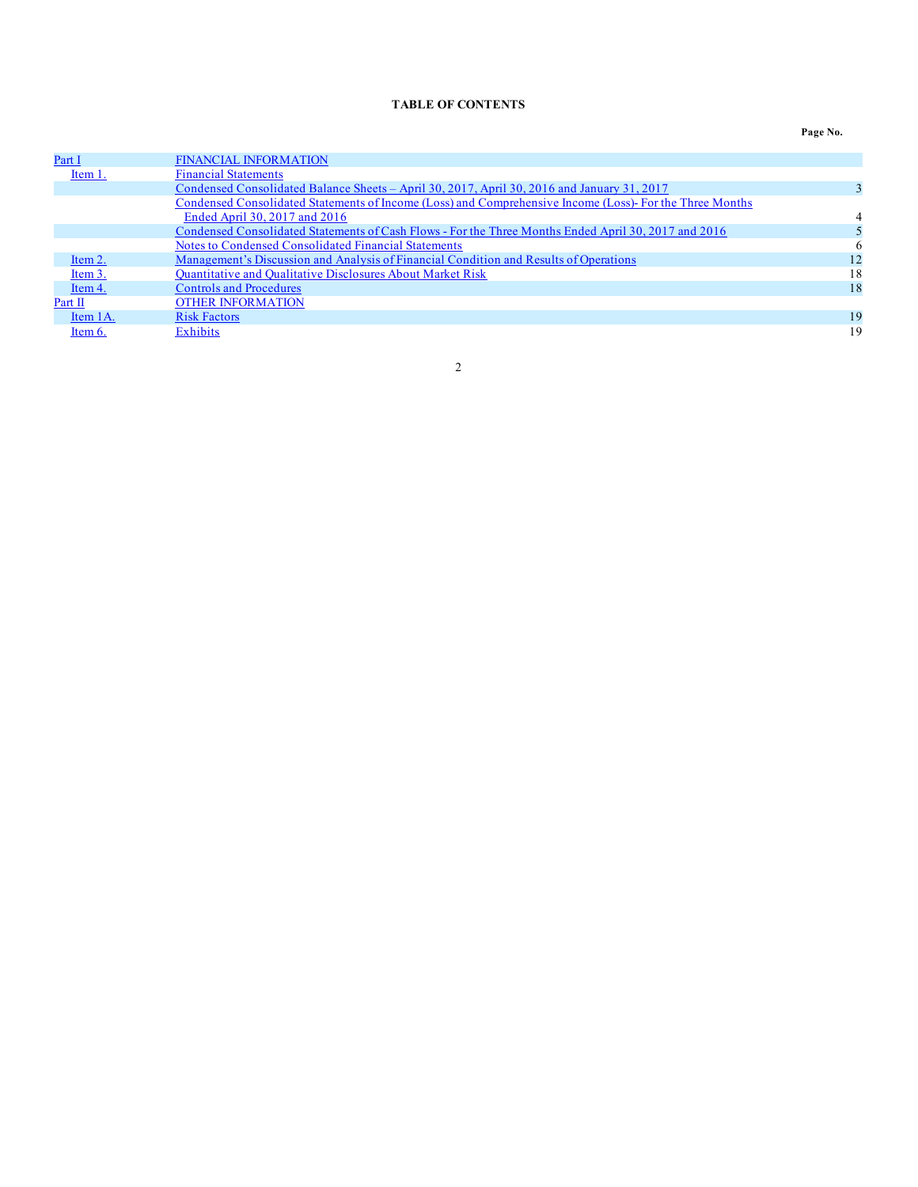## **TABLE OF CONTENTS**

## **Page No.**

<span id="page-1-0"></span>

| Part I     | <b>FINANCIAL INFORMATION</b>                                                                             |    |
|------------|----------------------------------------------------------------------------------------------------------|----|
| Item 1.    | <b>Financial Statements</b>                                                                              |    |
|            | Condensed Consolidated Balance Sheets – April 30, 2017, April 30, 2016 and January 31, 2017              |    |
|            | Condensed Consolidated Statements of Income (Loss) and Comprehensive Income (Loss)- For the Three Months |    |
|            | Ended April 30, 2017 and 2016                                                                            |    |
|            | Condensed Consolidated Statements of Cash Flows - For the Three Months Ended April 30, 2017 and 2016     |    |
|            | Notes to Condensed Consolidated Financial Statements                                                     | 6  |
| Item 2.    | Management's Discussion and Analysis of Financial Condition and Results of Operations                    | 12 |
| Item 3.    | <b>Quantitative and Qualitative Disclosures About Market Risk</b>                                        | 18 |
| Item 4.    | <b>Controls and Procedures</b>                                                                           | 18 |
| Part II    | <b>OTHER INFORMATION</b>                                                                                 |    |
| Item 1A.   | <b>Risk Factors</b>                                                                                      | 19 |
| Item $6$ . | Exhibits                                                                                                 | 19 |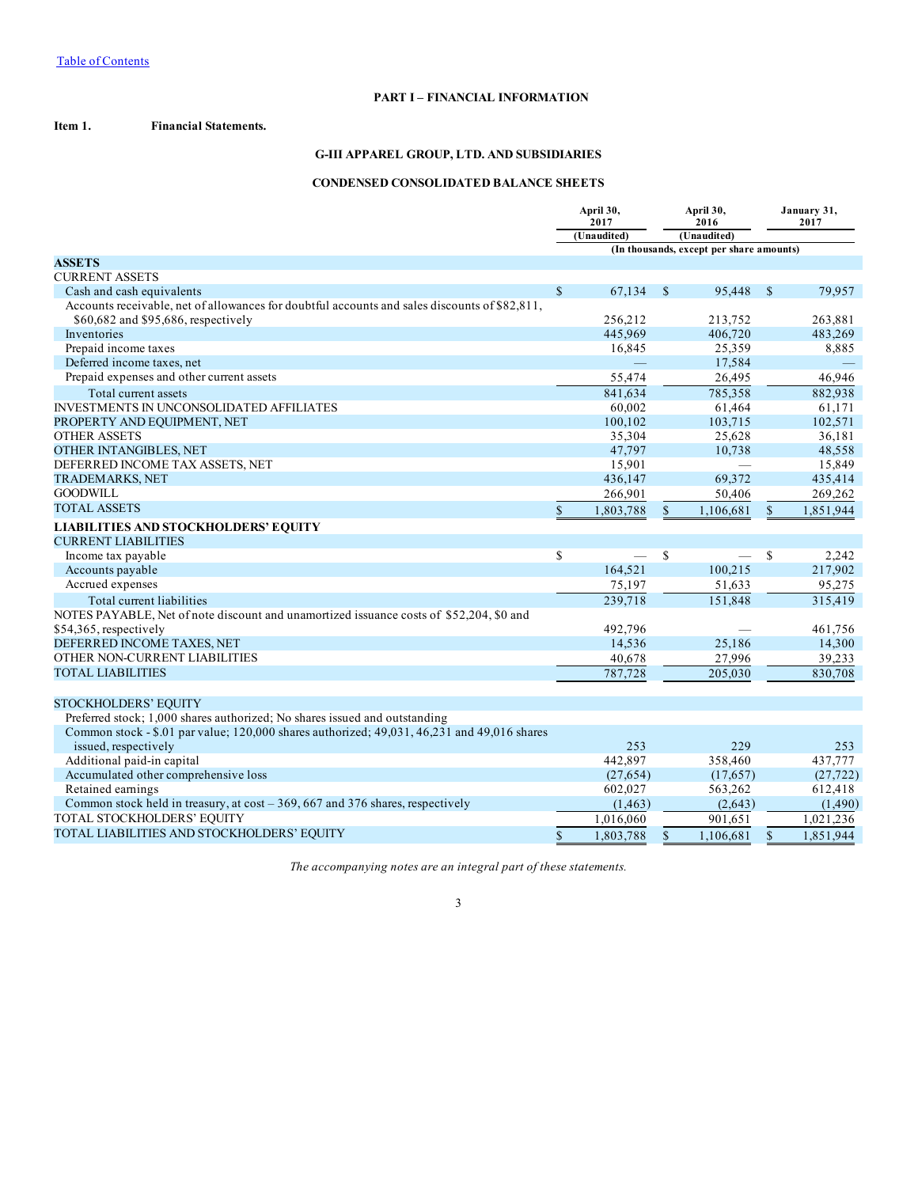## **PART I – FINANCIAL INFORMATION**

<span id="page-2-0"></span>**Item 1. Financial Statements.**

## **G-III APPAREL GROUP, LTD. AND SUBSIDIARIES**

## **CONDENSED CONSOLIDATED BALANCE SHEETS**

|                                                                                               | April 30,<br>2017 |             |               | April 30,<br>2016                        |               | January 31,<br>2017 |
|-----------------------------------------------------------------------------------------------|-------------------|-------------|---------------|------------------------------------------|---------------|---------------------|
|                                                                                               |                   | (Unaudited) |               | (Unaudited)                              |               |                     |
|                                                                                               |                   |             |               | (In thousands, except per share amounts) |               |                     |
| <b>ASSETS</b><br><b>CURRENT ASSETS</b>                                                        |                   |             |               |                                          |               |                     |
| Cash and cash equivalents                                                                     | $\mathbf S$       | 67.134      | <sup>\$</sup> | 95.448                                   | <sup>\$</sup> | 79,957              |
| Accounts receivable, net of allowances for doubtful accounts and sales discounts of \$82,811, |                   |             |               |                                          |               |                     |
| \$60,682 and \$95,686, respectively                                                           |                   | 256.212     |               | 213.752                                  |               | 263,881             |
| Inventories                                                                                   |                   | 445,969     |               | 406,720                                  |               | 483,269             |
| Prepaid income taxes                                                                          |                   | 16,845      |               | 25,359                                   |               | 8,885               |
| Deferred income taxes, net                                                                    |                   |             |               | 17,584                                   |               |                     |
| Prepaid expenses and other current assets                                                     |                   | 55,474      |               | 26,495                                   |               | 46.946              |
| Total current assets                                                                          |                   | 841,634     |               | 785,358                                  |               | 882,938             |
| <b>INVESTMENTS IN UNCONSOLIDATED AFFILIATES</b>                                               |                   | 60.002      |               | 61.464                                   |               | 61.171              |
| PROPERTY AND EQUIPMENT, NET                                                                   |                   | 100,102     |               | 103,715                                  |               | 102,571             |
| <b>OTHER ASSETS</b>                                                                           |                   | 35,304      |               | 25,628                                   |               | 36,181              |
| <b>OTHER INTANGIBLES, NET</b>                                                                 |                   | 47.797      |               | 10.738                                   |               | 48.558              |
| DEFERRED INCOME TAX ASSETS, NET                                                               |                   | 15,901      |               |                                          |               | 15,849              |
| <b>TRADEMARKS, NET</b>                                                                        |                   | 436,147     |               | 69,372                                   |               | 435,414             |
| <b>GOODWILL</b>                                                                               |                   | 266,901     |               | 50,406                                   |               | 269,262             |
| <b>TOTAL ASSETS</b>                                                                           | $\mathcal{S}$     | 1,803,788   | $\mathbb{S}$  | 1,106,681                                | $\mathbf S$   | 1,851,944           |
| <b>LIABILITIES AND STOCKHOLDERS' EQUITY</b>                                                   |                   |             |               |                                          |               |                     |
| <b>CURRENT LIABILITIES</b>                                                                    |                   |             |               |                                          |               |                     |
| Income tax payable                                                                            | \$                |             | <sup>\$</sup> |                                          | S             | 2,242               |
| Accounts payable                                                                              |                   | 164,521     |               | 100.215                                  |               | 217,902             |
| Accrued expenses                                                                              |                   | 75,197      |               | 51,633                                   |               | 95,275              |
| Total current liabilities                                                                     |                   | 239,718     |               | 151,848                                  |               | 315,419             |
| NOTES PAYABLE, Net of note discount and unamortized issuance costs of \$52,204, \$0 and       |                   |             |               |                                          |               |                     |
| \$54,365, respectively                                                                        |                   | 492.796     |               |                                          |               | 461,756             |
| DEFERRED INCOME TAXES, NET                                                                    |                   | 14,536      |               | 25,186                                   |               | 14,300              |
| OTHER NON-CURRENT LIABILITIES                                                                 |                   | 40,678      |               | 27,996                                   |               | 39,233              |
| <b>TOTAL LIABILITIES</b>                                                                      |                   | 787,728     |               | 205,030                                  |               | 830.708             |
|                                                                                               |                   |             |               |                                          |               |                     |
| <b>STOCKHOLDERS' EQUITY</b>                                                                   |                   |             |               |                                          |               |                     |
| Preferred stock; 1,000 shares authorized; No shares issued and outstanding                    |                   |             |               |                                          |               |                     |
| Common stock - \$.01 par value; 120,000 shares authorized; 49,031, 46,231 and 49,016 shares   |                   |             |               |                                          |               |                     |
| issued, respectively                                                                          |                   | 253         |               | 229                                      |               | 253                 |
| Additional paid-in capital                                                                    |                   | 442,897     |               | 358,460                                  |               | 437,777             |
| Accumulated other comprehensive loss                                                          |                   | (27, 654)   |               | (17,657)                                 |               | (27, 722)           |
| Retained earnings                                                                             |                   | 602,027     |               | 563,262                                  |               | 612,418             |
| Common stock held in treasury, at $cost - 369, 667$ and 376 shares, respectively              |                   | (1, 463)    |               | (2,643)                                  |               | (1,490)             |
| TOTAL STOCKHOLDERS' EQUITY                                                                    |                   | 1,016,060   |               | 901,651                                  |               | 1,021,236           |
| TOTAL LIABILITIES AND STOCKHOLDERS' EQUITY                                                    | $\mathbb{S}$      | 1,803,788   | $\mathbb{S}$  | 1.106.681                                | $\mathbf S$   | 1.851.944           |

*The accompanying notes are an integral part of these statements.*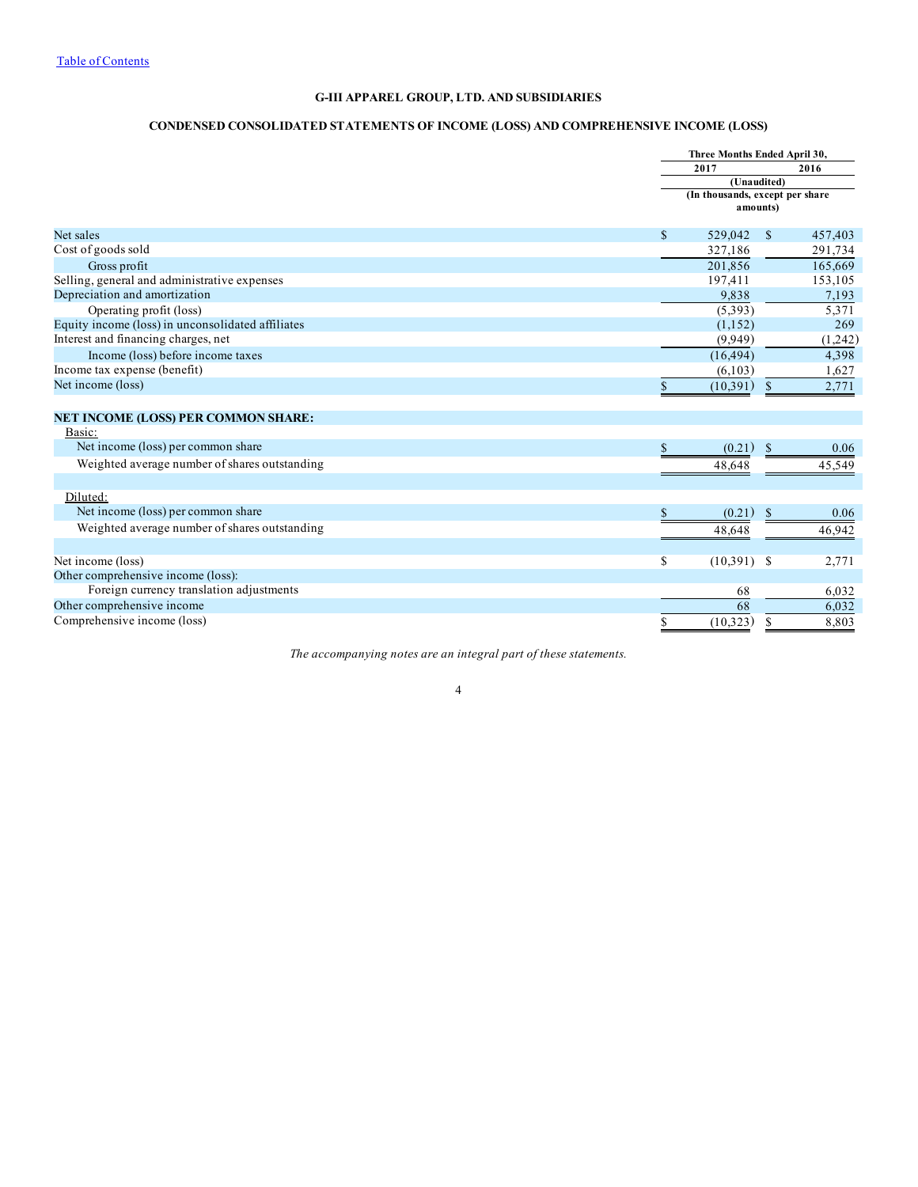## **G-III APPAREL GROUP, LTD. AND SUBSIDIARIES**

## **CONDENSED CONSOLIDATED STATEMENTS OF INCOME (LOSS) AND COMPREHENSIVE INCOME (LOSS)**

<span id="page-3-0"></span>

|                                                   |               | Three Months Ended April 30,                |               |         |
|---------------------------------------------------|---------------|---------------------------------------------|---------------|---------|
|                                                   |               | 2017                                        |               | 2016    |
|                                                   |               | (Unaudited)                                 |               |         |
|                                                   |               | (In thousands, except per share<br>amounts) |               |         |
| Net sales                                         | <sup>\$</sup> | 529,042                                     | $\mathbb{S}$  | 457,403 |
| Cost of goods sold                                |               | 327.186                                     |               | 291,734 |
| Gross profit                                      |               | 201,856                                     |               | 165,669 |
| Selling, general and administrative expenses      |               | 197,411                                     |               | 153,105 |
| Depreciation and amortization                     |               | 9,838                                       |               | 7,193   |
| Operating profit (loss)                           |               | (5,393)                                     |               | 5,371   |
| Equity income (loss) in unconsolidated affiliates |               | (1,152)                                     |               | 269     |
| Interest and financing charges, net               |               | (9,949)                                     |               | (1,242) |
| Income (loss) before income taxes                 |               | (16, 494)                                   |               | 4,398   |
| Income tax expense (benefit)                      |               | (6,103)                                     |               | 1,627   |
| Net income (loss)                                 | \$            | (10,391)                                    | <sup>\$</sup> | 2,771   |
|                                                   |               |                                             |               |         |
| <b>NET INCOME (LOSS) PER COMMON SHARE:</b>        |               |                                             |               |         |
| Basic:                                            |               |                                             |               |         |
| Net income (loss) per common share                | \$            | (0.21)                                      | $\mathbb{S}$  | 0.06    |
| Weighted average number of shares outstanding     |               | 48,648                                      |               | 45,549  |
|                                                   |               |                                             |               |         |
| Diluted:                                          |               |                                             |               |         |
| Net income (loss) per common share                | \$            | (0.21)                                      | <sup>\$</sup> | 0.06    |
| Weighted average number of shares outstanding     |               | 48,648                                      |               | 46,942  |
|                                                   |               |                                             |               |         |
| Net income (loss)                                 | \$            | (10,391)                                    | -S            | 2,771   |
| Other comprehensive income (loss):                |               |                                             |               |         |
| Foreign currency translation adjustments          |               | 68                                          |               | 6,032   |
| Other comprehensive income                        |               | 68                                          |               | 6,032   |
| Comprehensive income (loss)                       | \$            | (10, 323)                                   | <sup>\$</sup> | 8,803   |

*The accompanying notes are an integral part of these statements.*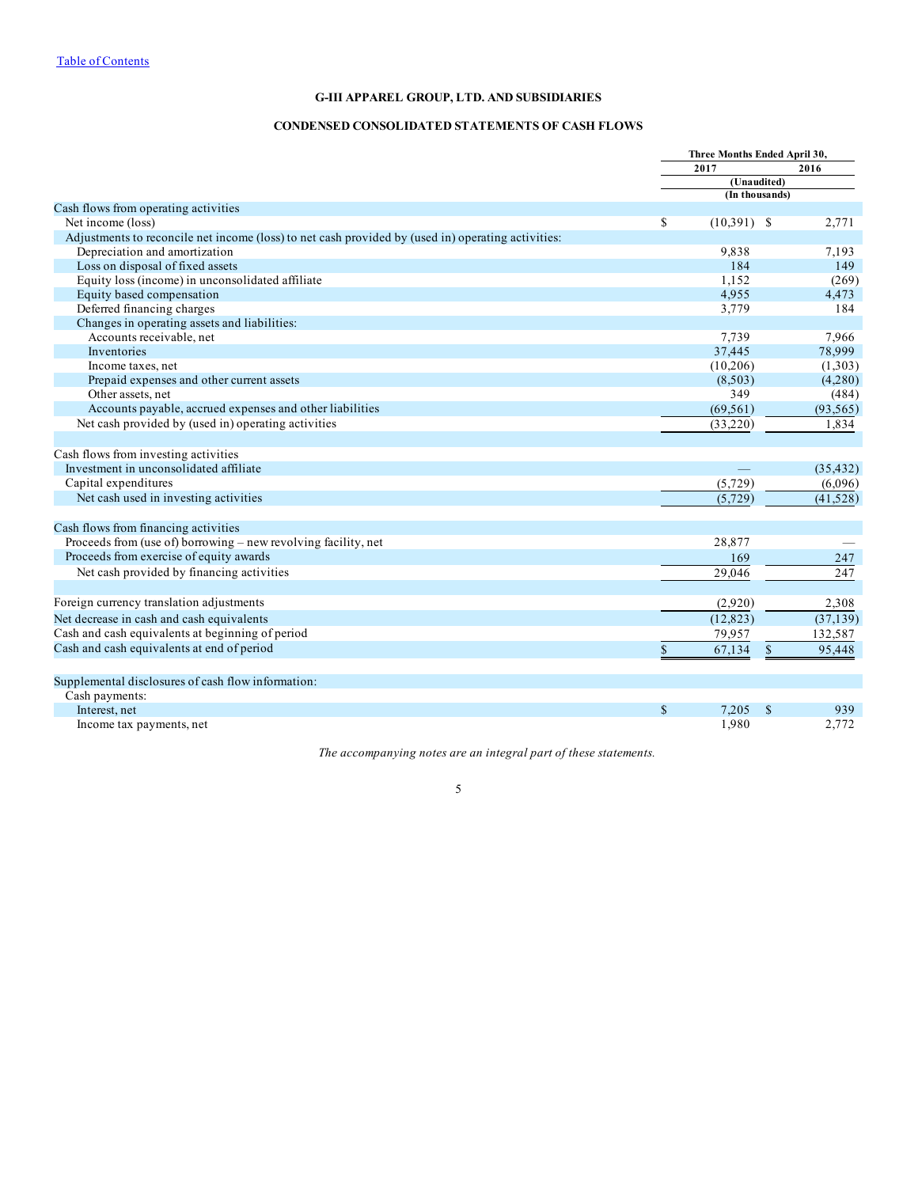## **G-III APPAREL GROUP, LTD. AND SUBSIDIARIES**

## **CONDENSED CONSOLIDATED STATEMENTS OF CASH FLOWS**

<span id="page-4-0"></span>

| 2017<br>2016<br>(Unaudited)<br>(In thousands)<br>Cash flows from operating activities<br>S<br>$(10,391)$ \$<br>Net income (loss)<br>2,771<br>Adjustments to reconcile net income (loss) to net cash provided by (used in) operating activities:<br>Depreciation and amortization<br>9,838<br>7,193<br>Loss on disposal of fixed assets<br>184<br>149<br>Equity loss (income) in unconsolidated affiliate<br>1.152<br>Equity based compensation<br>4,955<br>4,473<br>Deferred financing charges<br>3,779<br>184<br>Changes in operating assets and liabilities:<br>Accounts receivable, net<br>7,739<br>7,966<br>37.445<br>78,999<br>Inventories<br>(10,206)<br>Income taxes, net<br>Prepaid expenses and other current assets<br>(8,503)<br>Other assets, net<br>349<br>Accounts payable, accrued expenses and other liabilities<br>(69, 561)<br>(93, 565)<br>Net cash provided by (used in) operating activities<br>(33,220)<br>1,834<br>Cash flows from investing activities<br>Investment in unconsolidated affiliate<br>(35, 432)<br>Capital expenditures<br>(5, 729)<br>(6,096)<br>Net cash used in investing activities<br>(5, 729)<br>(41,528)<br>Cash flows from financing activities<br>Proceeds from (use of) borrowing - new revolving facility, net<br>28,877<br>Proceeds from exercise of equity awards<br>169<br>247<br>Net cash provided by financing activities<br>29,046<br>247<br>Foreign currency translation adjustments<br>(2,920)<br>2,308<br>(37, 139)<br>(12, 823)<br>Net decrease in cash and cash equivalents<br>Cash and cash equivalents at beginning of period<br>79,957<br>132,587<br>Cash and cash equivalents at end of period<br>$\mathbb S$<br>\$<br>67,134<br>95,448<br>Cash payments:<br>$\mathbb{S}$<br>Interest, net<br>7,205<br>\$<br>939<br>1,980<br>2,772<br>Income tax payments, net |                                                    | Three Months Ended April 30, |  |  |  |
|--------------------------------------------------------------------------------------------------------------------------------------------------------------------------------------------------------------------------------------------------------------------------------------------------------------------------------------------------------------------------------------------------------------------------------------------------------------------------------------------------------------------------------------------------------------------------------------------------------------------------------------------------------------------------------------------------------------------------------------------------------------------------------------------------------------------------------------------------------------------------------------------------------------------------------------------------------------------------------------------------------------------------------------------------------------------------------------------------------------------------------------------------------------------------------------------------------------------------------------------------------------------------------------------------------------------------------------------------------------------------------------------------------------------------------------------------------------------------------------------------------------------------------------------------------------------------------------------------------------------------------------------------------------------------------------------------------------------------------------------------------------------------------------------------------------------------------|----------------------------------------------------|------------------------------|--|--|--|
| (269)<br>(4,280)<br>(484)                                                                                                                                                                                                                                                                                                                                                                                                                                                                                                                                                                                                                                                                                                                                                                                                                                                                                                                                                                                                                                                                                                                                                                                                                                                                                                                                                                                                                                                                                                                                                                                                                                                                                                                                                                                                      |                                                    |                              |  |  |  |
|                                                                                                                                                                                                                                                                                                                                                                                                                                                                                                                                                                                                                                                                                                                                                                                                                                                                                                                                                                                                                                                                                                                                                                                                                                                                                                                                                                                                                                                                                                                                                                                                                                                                                                                                                                                                                                |                                                    |                              |  |  |  |
|                                                                                                                                                                                                                                                                                                                                                                                                                                                                                                                                                                                                                                                                                                                                                                                                                                                                                                                                                                                                                                                                                                                                                                                                                                                                                                                                                                                                                                                                                                                                                                                                                                                                                                                                                                                                                                |                                                    |                              |  |  |  |
|                                                                                                                                                                                                                                                                                                                                                                                                                                                                                                                                                                                                                                                                                                                                                                                                                                                                                                                                                                                                                                                                                                                                                                                                                                                                                                                                                                                                                                                                                                                                                                                                                                                                                                                                                                                                                                |                                                    |                              |  |  |  |
|                                                                                                                                                                                                                                                                                                                                                                                                                                                                                                                                                                                                                                                                                                                                                                                                                                                                                                                                                                                                                                                                                                                                                                                                                                                                                                                                                                                                                                                                                                                                                                                                                                                                                                                                                                                                                                |                                                    |                              |  |  |  |
|                                                                                                                                                                                                                                                                                                                                                                                                                                                                                                                                                                                                                                                                                                                                                                                                                                                                                                                                                                                                                                                                                                                                                                                                                                                                                                                                                                                                                                                                                                                                                                                                                                                                                                                                                                                                                                |                                                    |                              |  |  |  |
|                                                                                                                                                                                                                                                                                                                                                                                                                                                                                                                                                                                                                                                                                                                                                                                                                                                                                                                                                                                                                                                                                                                                                                                                                                                                                                                                                                                                                                                                                                                                                                                                                                                                                                                                                                                                                                |                                                    |                              |  |  |  |
| (1,303)                                                                                                                                                                                                                                                                                                                                                                                                                                                                                                                                                                                                                                                                                                                                                                                                                                                                                                                                                                                                                                                                                                                                                                                                                                                                                                                                                                                                                                                                                                                                                                                                                                                                                                                                                                                                                        |                                                    |                              |  |  |  |
|                                                                                                                                                                                                                                                                                                                                                                                                                                                                                                                                                                                                                                                                                                                                                                                                                                                                                                                                                                                                                                                                                                                                                                                                                                                                                                                                                                                                                                                                                                                                                                                                                                                                                                                                                                                                                                |                                                    |                              |  |  |  |
|                                                                                                                                                                                                                                                                                                                                                                                                                                                                                                                                                                                                                                                                                                                                                                                                                                                                                                                                                                                                                                                                                                                                                                                                                                                                                                                                                                                                                                                                                                                                                                                                                                                                                                                                                                                                                                |                                                    |                              |  |  |  |
|                                                                                                                                                                                                                                                                                                                                                                                                                                                                                                                                                                                                                                                                                                                                                                                                                                                                                                                                                                                                                                                                                                                                                                                                                                                                                                                                                                                                                                                                                                                                                                                                                                                                                                                                                                                                                                |                                                    |                              |  |  |  |
|                                                                                                                                                                                                                                                                                                                                                                                                                                                                                                                                                                                                                                                                                                                                                                                                                                                                                                                                                                                                                                                                                                                                                                                                                                                                                                                                                                                                                                                                                                                                                                                                                                                                                                                                                                                                                                |                                                    |                              |  |  |  |
|                                                                                                                                                                                                                                                                                                                                                                                                                                                                                                                                                                                                                                                                                                                                                                                                                                                                                                                                                                                                                                                                                                                                                                                                                                                                                                                                                                                                                                                                                                                                                                                                                                                                                                                                                                                                                                |                                                    |                              |  |  |  |
|                                                                                                                                                                                                                                                                                                                                                                                                                                                                                                                                                                                                                                                                                                                                                                                                                                                                                                                                                                                                                                                                                                                                                                                                                                                                                                                                                                                                                                                                                                                                                                                                                                                                                                                                                                                                                                |                                                    |                              |  |  |  |
|                                                                                                                                                                                                                                                                                                                                                                                                                                                                                                                                                                                                                                                                                                                                                                                                                                                                                                                                                                                                                                                                                                                                                                                                                                                                                                                                                                                                                                                                                                                                                                                                                                                                                                                                                                                                                                |                                                    |                              |  |  |  |
|                                                                                                                                                                                                                                                                                                                                                                                                                                                                                                                                                                                                                                                                                                                                                                                                                                                                                                                                                                                                                                                                                                                                                                                                                                                                                                                                                                                                                                                                                                                                                                                                                                                                                                                                                                                                                                |                                                    |                              |  |  |  |
|                                                                                                                                                                                                                                                                                                                                                                                                                                                                                                                                                                                                                                                                                                                                                                                                                                                                                                                                                                                                                                                                                                                                                                                                                                                                                                                                                                                                                                                                                                                                                                                                                                                                                                                                                                                                                                |                                                    |                              |  |  |  |
|                                                                                                                                                                                                                                                                                                                                                                                                                                                                                                                                                                                                                                                                                                                                                                                                                                                                                                                                                                                                                                                                                                                                                                                                                                                                                                                                                                                                                                                                                                                                                                                                                                                                                                                                                                                                                                |                                                    |                              |  |  |  |
|                                                                                                                                                                                                                                                                                                                                                                                                                                                                                                                                                                                                                                                                                                                                                                                                                                                                                                                                                                                                                                                                                                                                                                                                                                                                                                                                                                                                                                                                                                                                                                                                                                                                                                                                                                                                                                |                                                    |                              |  |  |  |
|                                                                                                                                                                                                                                                                                                                                                                                                                                                                                                                                                                                                                                                                                                                                                                                                                                                                                                                                                                                                                                                                                                                                                                                                                                                                                                                                                                                                                                                                                                                                                                                                                                                                                                                                                                                                                                |                                                    |                              |  |  |  |
|                                                                                                                                                                                                                                                                                                                                                                                                                                                                                                                                                                                                                                                                                                                                                                                                                                                                                                                                                                                                                                                                                                                                                                                                                                                                                                                                                                                                                                                                                                                                                                                                                                                                                                                                                                                                                                |                                                    |                              |  |  |  |
|                                                                                                                                                                                                                                                                                                                                                                                                                                                                                                                                                                                                                                                                                                                                                                                                                                                                                                                                                                                                                                                                                                                                                                                                                                                                                                                                                                                                                                                                                                                                                                                                                                                                                                                                                                                                                                |                                                    |                              |  |  |  |
|                                                                                                                                                                                                                                                                                                                                                                                                                                                                                                                                                                                                                                                                                                                                                                                                                                                                                                                                                                                                                                                                                                                                                                                                                                                                                                                                                                                                                                                                                                                                                                                                                                                                                                                                                                                                                                |                                                    |                              |  |  |  |
|                                                                                                                                                                                                                                                                                                                                                                                                                                                                                                                                                                                                                                                                                                                                                                                                                                                                                                                                                                                                                                                                                                                                                                                                                                                                                                                                                                                                                                                                                                                                                                                                                                                                                                                                                                                                                                |                                                    |                              |  |  |  |
|                                                                                                                                                                                                                                                                                                                                                                                                                                                                                                                                                                                                                                                                                                                                                                                                                                                                                                                                                                                                                                                                                                                                                                                                                                                                                                                                                                                                                                                                                                                                                                                                                                                                                                                                                                                                                                |                                                    |                              |  |  |  |
|                                                                                                                                                                                                                                                                                                                                                                                                                                                                                                                                                                                                                                                                                                                                                                                                                                                                                                                                                                                                                                                                                                                                                                                                                                                                                                                                                                                                                                                                                                                                                                                                                                                                                                                                                                                                                                |                                                    |                              |  |  |  |
|                                                                                                                                                                                                                                                                                                                                                                                                                                                                                                                                                                                                                                                                                                                                                                                                                                                                                                                                                                                                                                                                                                                                                                                                                                                                                                                                                                                                                                                                                                                                                                                                                                                                                                                                                                                                                                |                                                    |                              |  |  |  |
|                                                                                                                                                                                                                                                                                                                                                                                                                                                                                                                                                                                                                                                                                                                                                                                                                                                                                                                                                                                                                                                                                                                                                                                                                                                                                                                                                                                                                                                                                                                                                                                                                                                                                                                                                                                                                                |                                                    |                              |  |  |  |
|                                                                                                                                                                                                                                                                                                                                                                                                                                                                                                                                                                                                                                                                                                                                                                                                                                                                                                                                                                                                                                                                                                                                                                                                                                                                                                                                                                                                                                                                                                                                                                                                                                                                                                                                                                                                                                |                                                    |                              |  |  |  |
|                                                                                                                                                                                                                                                                                                                                                                                                                                                                                                                                                                                                                                                                                                                                                                                                                                                                                                                                                                                                                                                                                                                                                                                                                                                                                                                                                                                                                                                                                                                                                                                                                                                                                                                                                                                                                                |                                                    |                              |  |  |  |
|                                                                                                                                                                                                                                                                                                                                                                                                                                                                                                                                                                                                                                                                                                                                                                                                                                                                                                                                                                                                                                                                                                                                                                                                                                                                                                                                                                                                                                                                                                                                                                                                                                                                                                                                                                                                                                |                                                    |                              |  |  |  |
|                                                                                                                                                                                                                                                                                                                                                                                                                                                                                                                                                                                                                                                                                                                                                                                                                                                                                                                                                                                                                                                                                                                                                                                                                                                                                                                                                                                                                                                                                                                                                                                                                                                                                                                                                                                                                                |                                                    |                              |  |  |  |
|                                                                                                                                                                                                                                                                                                                                                                                                                                                                                                                                                                                                                                                                                                                                                                                                                                                                                                                                                                                                                                                                                                                                                                                                                                                                                                                                                                                                                                                                                                                                                                                                                                                                                                                                                                                                                                |                                                    |                              |  |  |  |
|                                                                                                                                                                                                                                                                                                                                                                                                                                                                                                                                                                                                                                                                                                                                                                                                                                                                                                                                                                                                                                                                                                                                                                                                                                                                                                                                                                                                                                                                                                                                                                                                                                                                                                                                                                                                                                |                                                    |                              |  |  |  |
|                                                                                                                                                                                                                                                                                                                                                                                                                                                                                                                                                                                                                                                                                                                                                                                                                                                                                                                                                                                                                                                                                                                                                                                                                                                                                                                                                                                                                                                                                                                                                                                                                                                                                                                                                                                                                                |                                                    |                              |  |  |  |
|                                                                                                                                                                                                                                                                                                                                                                                                                                                                                                                                                                                                                                                                                                                                                                                                                                                                                                                                                                                                                                                                                                                                                                                                                                                                                                                                                                                                                                                                                                                                                                                                                                                                                                                                                                                                                                | Supplemental disclosures of cash flow information: |                              |  |  |  |
|                                                                                                                                                                                                                                                                                                                                                                                                                                                                                                                                                                                                                                                                                                                                                                                                                                                                                                                                                                                                                                                                                                                                                                                                                                                                                                                                                                                                                                                                                                                                                                                                                                                                                                                                                                                                                                |                                                    |                              |  |  |  |
|                                                                                                                                                                                                                                                                                                                                                                                                                                                                                                                                                                                                                                                                                                                                                                                                                                                                                                                                                                                                                                                                                                                                                                                                                                                                                                                                                                                                                                                                                                                                                                                                                                                                                                                                                                                                                                |                                                    |                              |  |  |  |
|                                                                                                                                                                                                                                                                                                                                                                                                                                                                                                                                                                                                                                                                                                                                                                                                                                                                                                                                                                                                                                                                                                                                                                                                                                                                                                                                                                                                                                                                                                                                                                                                                                                                                                                                                                                                                                |                                                    |                              |  |  |  |

*The accompanying notes are an integral part of these statements.*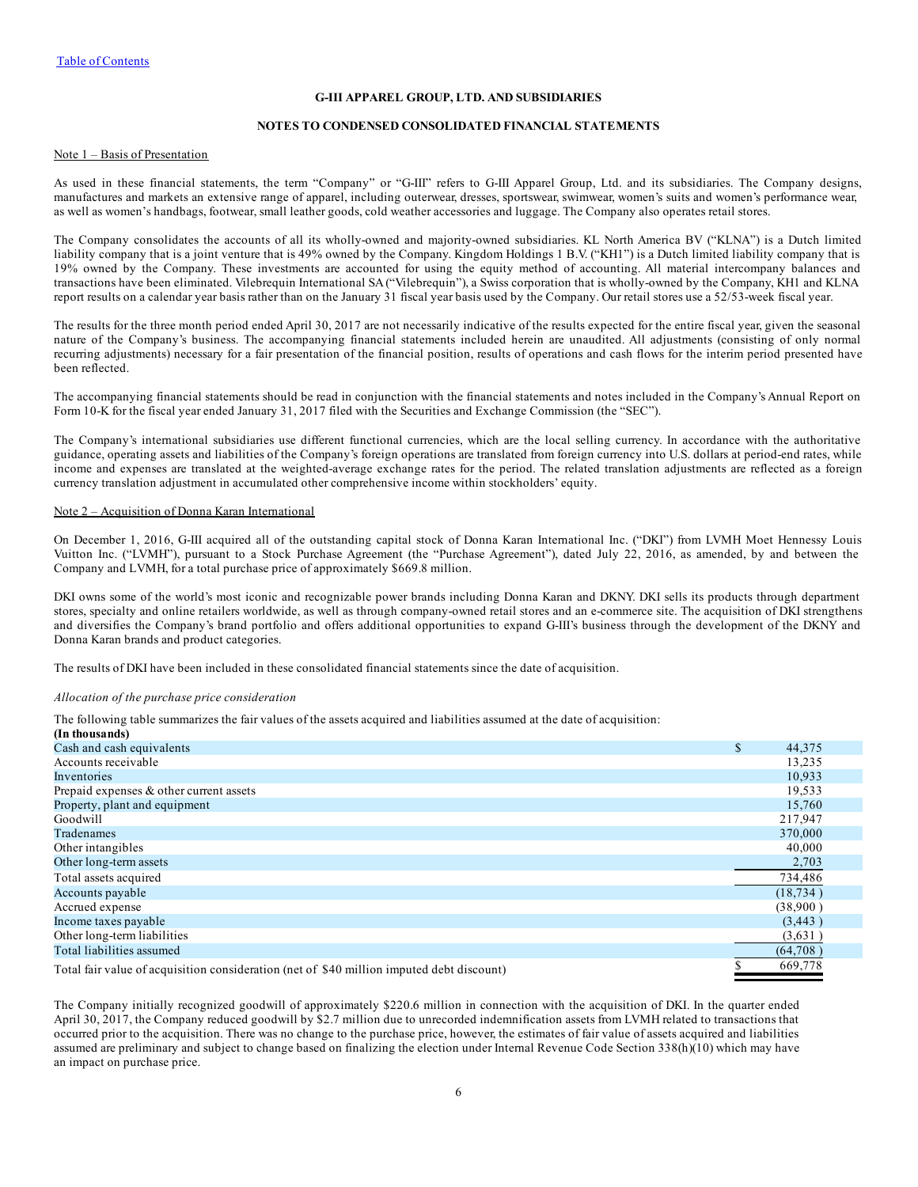#### **G-III APPAREL GROUP, LTD. AND SUBSIDIARIES**

#### **NOTES TO CONDENSED CONSOLIDATED FINANCIAL STATEMENTS**

#### <span id="page-5-0"></span>Note 1 – Basis of Presentation

As used in these financial statements, the term "Company" or "G-III" refers to G-III Apparel Group, Ltd. and its subsidiaries. The Company designs, manufactures and markets an extensive range of apparel, including outerwear, dresses, sportswear, swimwear, women's suits and women's performance wear, as well as women's handbags, footwear, small leather goods, cold weather accessories and luggage. The Company also operates retail stores.

The Company consolidates the accounts of all its wholly-owned and majority-owned subsidiaries. KL North America BV ("KLNA") is a Dutch limited liability company that is a joint venture that is 49% owned by the Company. Kingdom Holdings 1 B.V. ("KH1") is a Dutch limited liability company that is 19% owned by the Company. These investments are accounted for using the equity method of accounting. All material intercompany balances and transactions have been eliminated. Vilebrequin International SA("Vilebrequin"), a Swiss corporation that is wholly-owned by the Company, KH1 and KLNA report results on a calendar year basis rather than on the January 31 fiscal year basis used by the Company. Our retail stores use a 52/53-week fiscal year.

The results for the three month period ended April 30, 2017 are not necessarily indicative of the results expected for the entire fiscal year, given the seasonal nature of the Company's business. The accompanying financial statements included herein are unaudited. All adjustments (consisting of only normal recurring adjustments) necessary for a fair presentation of the financial position, results of operations and cash flows for the interim period presented have been reflected.

The accompanying financial statements should be read in conjunction with the financial statements and notes included in the Company's Annual Report on Form 10-K for the fiscal year ended January 31, 2017 filed with the Securities and Exchange Commission (the "SEC").

The Company's international subsidiaries use different functional currencies, which are the local selling currency. In accordance with the authoritative guidance, operating assets and liabilities of the Company's foreign operations are translated from foreign currency into U.S. dollars at period-end rates, while income and expenses are translated at the weighted-average exchange rates for the period. The related translation adjustments are reflected as a foreign currency translation adjustment in accumulated other comprehensive income within stockholders' equity.

#### Note 2 – Acquisition of Donna Karan International

On December 1, 2016, G-III acquired all of the outstanding capital stock of Donna Karan International Inc. ("DKI") from LVMH Moet Hennessy Louis Vuitton Inc. ("LVMH"), pursuant to a Stock Purchase Agreement (the "Purchase Agreement"), dated July 22, 2016, as amended, by and between the Company and LVMH, for a total purchase price of approximately \$669.8 million.

DKI owns some of the world's most iconic and recognizable power brands including Donna Karan and DKNY. DKI sells its products through department stores, specialty and online retailers worldwide, as well as through company-owned retail stores and an e-commerce site. The acquisition of DKI strengthens and diversifies the Company's brand portfolio and offers additional opportunities to expand G-III's business through the development of the DKNY and Donna Karan brands and product categories.

The results of DKI have been included in these consolidated financial statements since the date of acquisition.

#### *Allocation of the purchase price consideration*

The following table summarizes the fair values of the assets acquired and liabilities assumed at the date of acquisition:

| (In thousands)                                                                            |              |
|-------------------------------------------------------------------------------------------|--------------|
| Cash and cash equivalents                                                                 | \$<br>44,375 |
| Accounts receivable                                                                       | 13,235       |
| Inventories                                                                               | 10,933       |
| Prepaid expenses & other current assets                                                   | 19,533       |
| Property, plant and equipment                                                             | 15,760       |
| Goodwill                                                                                  | 217,947      |
| Tradenames                                                                                | 370,000      |
| Other intangibles                                                                         | 40,000       |
| Other long-term assets                                                                    | 2,703        |
| Total assets acquired                                                                     | 734,486      |
| Accounts payable                                                                          | (18, 734)    |
| Accrued expense                                                                           | (38,900)     |
| Income taxes payable                                                                      | (3,443)      |
| Other long-term liabilities                                                               | (3,631)      |
| Total liabilities assumed                                                                 | (64,708)     |
| Total fair value of acquisition consideration (net of \$40 million imputed debt discount) | 669,778      |

quisition consideration (net of \$40 million imputed debt discour

The Company initially recognized goodwill of approximately \$220.6 million in connection with the acquisition of DKI. In the quarter ended April 30, 2017, the Company reduced goodwill by \$2.7 million due to unrecorded indemnification assets from LVMH related to transactions that occurred prior to the acquisition. There was no change to the purchase price, however, the estimates of fair value of assets acquired and liabilities assumed are preliminary and subject to change based on finalizing the election under Internal Revenue Code Section 338(h)(10) which may have an impact on purchase price.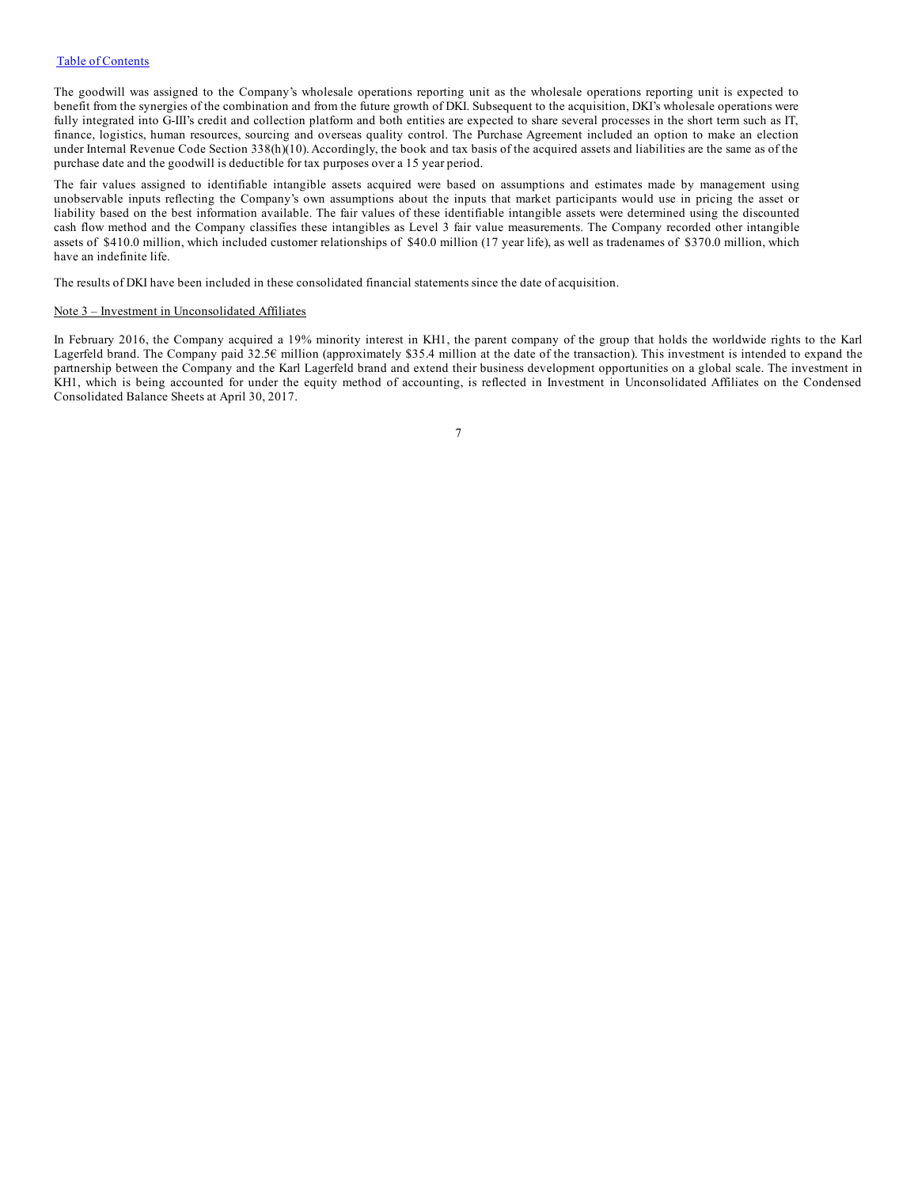The goodwill was assigned to the Company's wholesale operations reporting unit as the wholesale operations reporting unit is expected to benefit from the synergies of the combination and from the future growth of DKI. Subsequent to the acquisition, DKI's wholesale operations were fully integrated into G-III's credit and collection platform and both entities are expected to share several processes in the short term such as IT, finance, logistics, human resources, sourcing and overseas quality control. The Purchase Agreement included an option to make an election under Internal Revenue Code Section 338(h)(10). Accordingly, the book and tax basis of the acquired assets and liabilities are the same as of the purchase date and the goodwill is deductible for tax purposes over a 15 year period.

The fair values assigned to identifiable intangible assets acquired were based on assumptions and estimates made by management using unobservable inputs reflecting the Company's own assumptions about the inputs that market participants would use in pricing the asset or liability based on the best information available. The fair values of these identifiable intangible assets were determined using the discounted cash flow method and the Company classifies these intangibles as Level 3 fair value measurements. The Company recorded other intangible assets of \$410.0 million, which included customer relationships of \$40.0 million (17 year life), as well as tradenames of \$370.0 million, which have an indefinite life.

The results of DKI have been included in these consolidated financial statements since the date of acquisition.

#### Note 3 – Investment in Unconsolidated Affiliates

In February 2016, the Company acquired a 19% minority interest in KH1, the parent company of the group that holds the worldwide rights to the Karl Lagerfeld brand. The Company paid 32.5€ million (approximately \$35.4 million at the date of the transaction). This investment is intended to expand the partnership between the Company and the Karl Lagerfeld brand and extend their business development opportunities on a global scale. The investment in KH1, which is being accounted for under the equity method of accounting, is reflected in Investment in Unconsolidated Affiliates on the Condensed Consolidated Balance Sheets at April 30, 2017.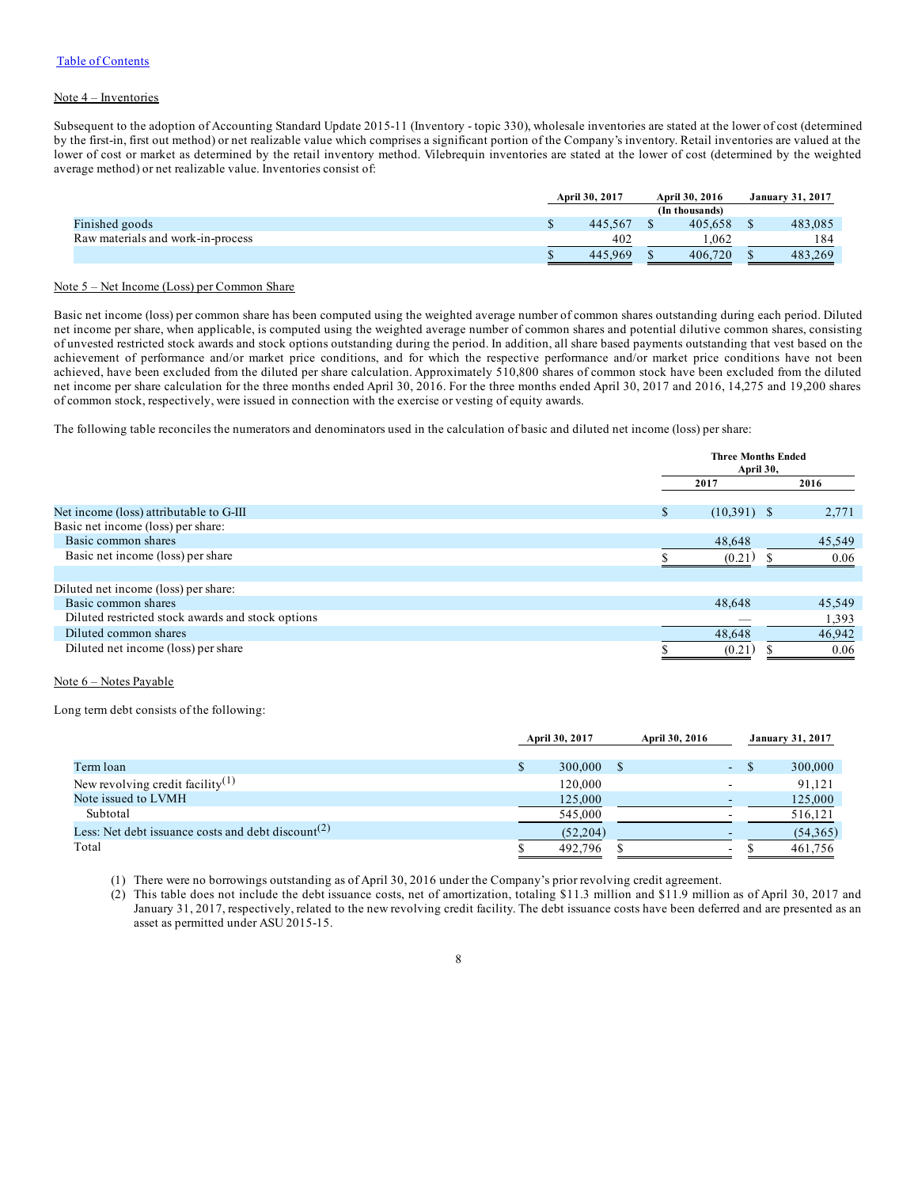#### Note 4 – Inventories

Subsequent to the adoption of Accounting Standard Update 2015-11 (Inventory - topic 330), wholesale inventories are stated at the lower of cost (determined by the first-in, first out method) or net realizable value which comprises a significant portion of the Company's inventory. Retail inventories are valued at the lower of cost or market as determined by the retail inventory method. Vilebrequin inventories are stated at the lower of cost (determined by the weighted average method) or net realizable value. Inventories consist of:

|                                   | April 30, 2017 | April 30, 2016 | <b>January 31, 2017</b> |
|-----------------------------------|----------------|----------------|-------------------------|
|                                   |                | (In thousands) |                         |
| Finished goods                    | 445.567        | 405.658        | 483.085                 |
| Raw materials and work-in-process | 402            | .062           | 184                     |
|                                   | 445.969        | 406,720        | 483.269                 |

#### Note 5 – Net Income (Loss) per Common Share

Basic net income (loss) per common share has been computed using the weighted average number of common shares outstanding during each period. Diluted net income per share, when applicable, is computed using the weighted average number of common shares and potential dilutive common shares, consisting of unvested restricted stock awards and stock options outstanding during the period. In addition, all share based payments outstanding that vest based on the achievement of performance and/or market price conditions, and for which the respective performance and/or market price conditions have not been achieved, have been excluded from the diluted per share calculation. Approximately 510,800 shares of common stock have been excluded from the diluted net income per share calculation for the three months ended April 30, 2016. For the three months ended April 30, 2017 and 2016, 14,275 and 19,200 shares of common stock, respectively, were issued in connection with the exercise or vesting of equity awards.

The following table reconciles the numerators and denominators used in the calculation of basic and diluted net income (loss) per share:

|                                                   | <b>Three Months Ended</b><br>April 30, |               |  |        |  |      |
|---------------------------------------------------|----------------------------------------|---------------|--|--------|--|------|
|                                                   |                                        | 2017          |  |        |  | 2016 |
|                                                   |                                        |               |  |        |  |      |
| Net income (loss) attributable to G-III           |                                        | $(10,391)$ \$ |  | 2,771  |  |      |
| Basic net income (loss) per share:                |                                        |               |  |        |  |      |
| Basic common shares                               |                                        | 48,648        |  | 45,549 |  |      |
| Basic net income (loss) per share                 |                                        | (0.21)        |  | 0.06   |  |      |
|                                                   |                                        |               |  |        |  |      |
| Diluted net income (loss) per share:              |                                        |               |  |        |  |      |
| Basic common shares                               |                                        | 48.648        |  | 45,549 |  |      |
| Diluted restricted stock awards and stock options |                                        |               |  | 1,393  |  |      |
| Diluted common shares                             |                                        | 48,648        |  | 46,942 |  |      |
| Diluted net income (loss) per share               |                                        | (0.21)        |  | 0.06   |  |      |

#### Note 6 – Notes Payable

Long term debt consists of the following:

|                                                                | April 30, 2017 | April 30, 2016 |            |  | <b>January 31, 2017</b> |
|----------------------------------------------------------------|----------------|----------------|------------|--|-------------------------|
|                                                                |                |                |            |  |                         |
| Term loan                                                      | 300,000        |                | <b>COL</b> |  | 300,000                 |
| New revolving credit facility <sup>(1)</sup>                   | 120.000        |                |            |  | 91.121                  |
| Note issued to LVMH                                            | 125,000        |                |            |  | 125,000                 |
| Subtotal                                                       | 545,000        |                |            |  | 516,121                 |
| Less: Net debt issuance costs and debt discount <sup>(2)</sup> | (52,204)       |                |            |  | (54,365)                |
| Total                                                          | 492.796        |                | ۰.         |  | 461.756                 |

(1) There were no borrowings outstanding as of April 30, 2016 under the Company's prior revolving credit agreement.

(2) This table does not include the debt issuance costs, net of amortization, totaling \$11.3 million and \$11.9 million as of April 30, 2017 and January 31, 2017, respectively, related to the new revolving credit facility. The debt issuance costs have been deferred and are presented as an asset as permitted under ASU 2015-15.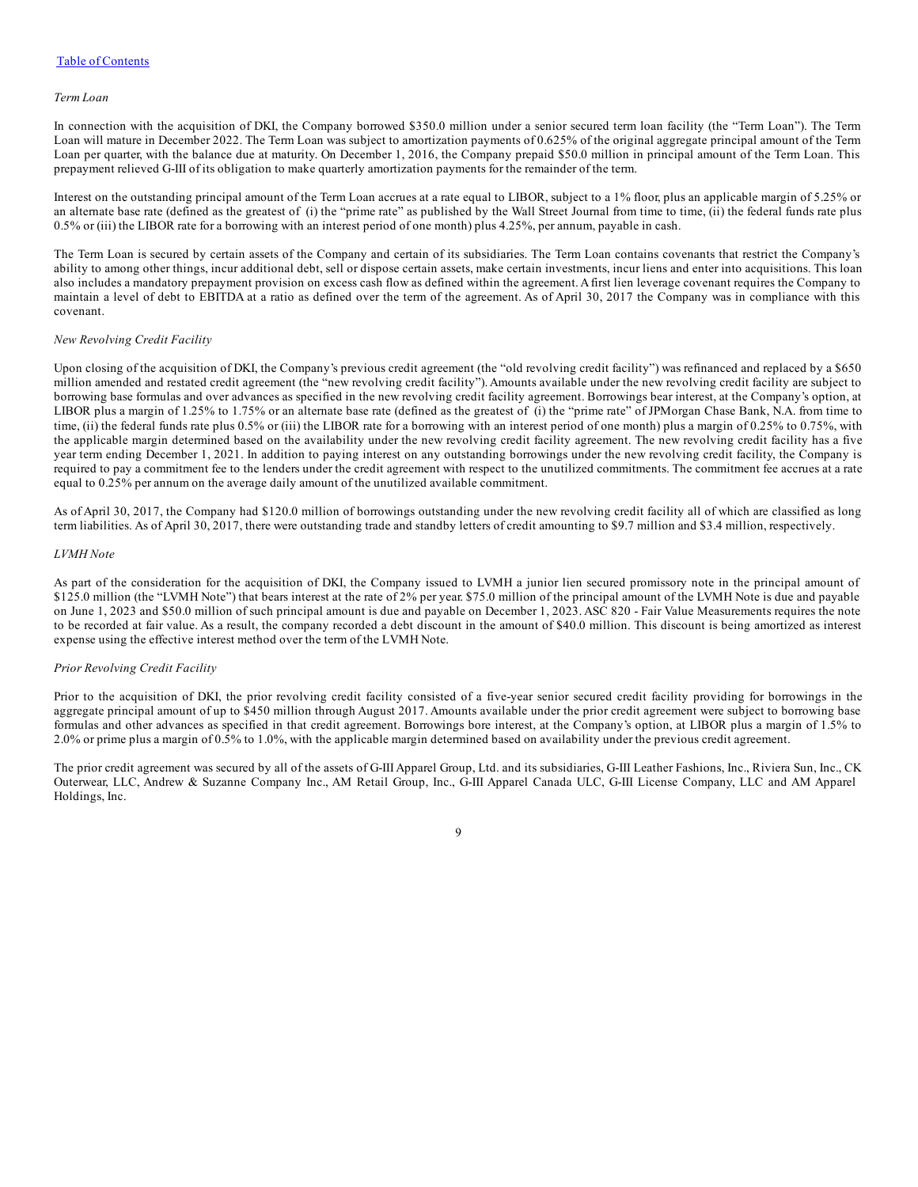#### *Term Loan*

In connection with the acquisition of DKI, the Company borrowed \$350.0 million under a senior secured term loan facility (the "Term Loan"). The Term Loan will mature in December 2022. The Term Loan was subject to amortization payments of 0.625% of the original aggregate principal amount of the Term Loan per quarter, with the balance due at maturity. On December 1, 2016, the Company prepaid \$50.0 million in principal amount of the Term Loan. This prepayment relieved G-III of its obligation to make quarterly amortization payments for the remainder of the term.

Interest on the outstanding principal amount of the Term Loan accrues at a rate equal to LIBOR, subject to a 1% floor, plus an applicable margin of 5.25% or an alternate base rate (defined as the greatest of (i) the "prime rate" as published by the Wall Street Journal from time to time, (ii) the federal funds rate plus 0.5% or (iii) the LIBOR rate for a borrowing with an interest period of one month) plus 4.25%, per annum, payable in cash.

The Term Loan is secured by certain assets of the Company and certain of its subsidiaries. The Term Loan contains covenants that restrict the Company's ability to among other things, incur additional debt, sell or dispose certain assets, make certain investments, incur liens and enter into acquisitions. This loan also includes a mandatory prepayment provision on excess cash flow as defined within the agreement. Afirst lien leverage covenant requires the Company to maintain a level of debt to EBITDA at a ratio as defined over the term of the agreement. As of April 30, 2017 the Company was in compliance with this covenant.

#### *New Revolving Credit Facility*

Upon closing of the acquisition of DKI, the Company's previous credit agreement (the "old revolving credit facility") was refinanced and replaced by a \$650 million amended and restated credit agreement (the "new revolving credit facility"). Amounts available under the new revolving credit facility are subject to borrowing base formulas and over advances as specified in the new revolving credit facility agreement. Borrowings bear interest, at the Company's option, at LIBOR plus a margin of 1.25% to 1.75% or an alternate base rate (defined as the greatest of (i) the "prime rate" of JPMorgan Chase Bank, N.A. from time to time, (ii) the federal funds rate plus 0.5% or (iii) the LIBOR rate for a borrowing with an interest period of one month) plus a margin of 0.25% to 0.75%, with the applicable margin determined based on the availability under the new revolving credit facility agreement. The new revolving credit facility has a five year term ending December 1, 2021. In addition to paying interest on any outstanding borrowings under the new revolving credit facility, the Company is required to pay a commitment fee to the lenders under the credit agreement with respect to the unutilized commitments. The commitment fee accrues at a rate equal to 0.25% per annum on the average daily amount of the unutilized available commitment.

As of April 30, 2017, the Company had \$120.0 million of borrowings outstanding under the new revolving credit facility all of which are classified as long term liabilities. As of April 30, 2017, there were outstanding trade and standby letters of credit amounting to \$9.7 million and \$3.4 million, respectively.

#### *LVMH Note*

As part of the consideration for the acquisition of DKI, the Company issued to LVMH a junior lien secured promissory note in the principal amount of \$125.0 million (the "LVMH Note") that bears interest at the rate of 2% per year. \$75.0 million of the principal amount of the LVMH Note is due and payable on June 1, 2023 and \$50.0 million of such principal amount is due and payable on December 1, 2023. ASC 820 - Fair Value Measurements requires the note to be recorded at fair value. As a result, the company recorded a debt discount in the amount of \$40.0 million. This discount is being amortized as interest expense using the effective interest method over the term of the LVMH Note.

#### *Prior Revolving Credit Facility*

Prior to the acquisition of DKI, the prior revolving credit facility consisted of a five-year senior secured credit facility providing for borrowings in the aggregate principal amount of up to \$450 million through August 2017. Amounts available under the prior credit agreement were subject to borrowing base formulas and other advances as specified in that credit agreement. Borrowings bore interest, at the Company's option, at LIBOR plus a margin of 1.5% to 2.0% or prime plus a margin of 0.5% to 1.0%, with the applicable margin determined based on availability under the previous credit agreement.

The prior credit agreement was secured by all of the assets of G-III Apparel Group, Ltd. and its subsidiaries, G-III Leather Fashions, Inc., Riviera Sun, Inc., CK Outerwear, LLC, Andrew & Suzanne Company Inc., AM Retail Group, Inc., G-III Apparel Canada ULC, G-III License Company, LLC and AM Apparel Holdings, Inc.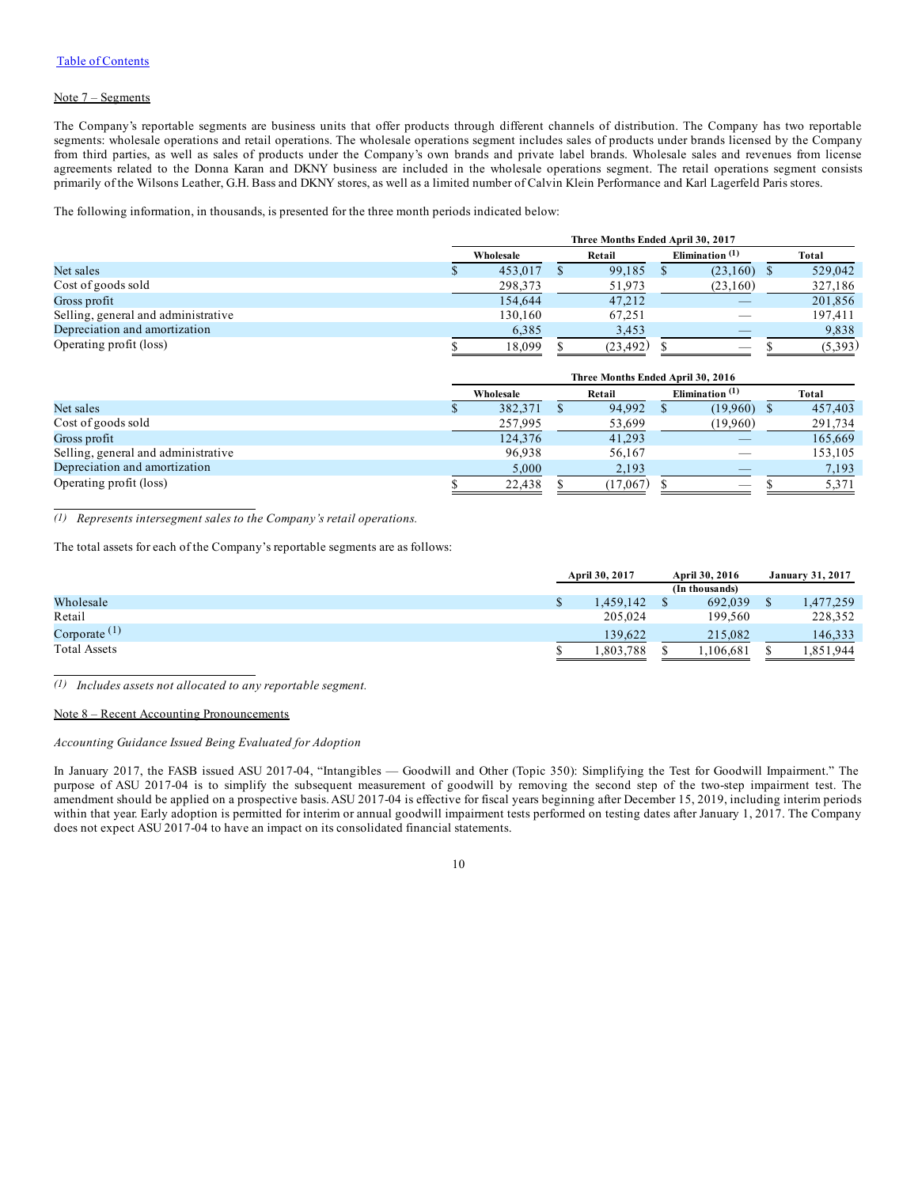#### Note 7 – Segments

The Company's reportable segments are business units that offer products through different channels of distribution. The Company has two reportable segments: wholesale operations and retail operations. The wholesale operations segment includes sales of products under brands licensed by the Company from third parties, as well as sales of products under the Company's own brands and private label brands. Wholesale sales and revenues from license agreements related to the Donna Karan and DKNY business are included in the wholesale operations segment. The retail operations segment consists primarily of the Wilsons Leather, G.H. Bass and DKNY stores, as well as a limited number of Calvin Klein Performance and Karl Lagerfeld Paris stores.

The following information, in thousands, is presented for the three month periods indicated below:

|                                     | Three Months Ended April 30, 2017 |  |           |  |                                 |  |         |  |
|-------------------------------------|-----------------------------------|--|-----------|--|---------------------------------|--|---------|--|
|                                     | Wholesale                         |  | Retail    |  | Elimination $(1)$               |  | Total   |  |
| Net sales                           | 453,017                           |  | 99.185    |  | $(23,160)$ \$                   |  | 529,042 |  |
| Cost of goods sold                  | 298,373                           |  | 51,973    |  | (23,160)                        |  | 327,186 |  |
| Gross profit                        | 154,644                           |  | 47.212    |  |                                 |  | 201,856 |  |
| Selling, general and administrative | 130.160                           |  | 67.251    |  |                                 |  | 197,411 |  |
| Depreciation and amortization       | 6,385                             |  | 3,453     |  |                                 |  | 9,838   |  |
| Operating profit (loss)             | 18.099                            |  | (23, 492) |  | $\hspace{0.1mm}-\hspace{0.1mm}$ |  | (5,393) |  |

|                                     |  | Three Months Ended April 30, 2016 |  |          |  |               |  |         |  |  |  |  |  |  |  |  |  |        |  |                   |  |       |
|-------------------------------------|--|-----------------------------------|--|----------|--|---------------|--|---------|--|--|--|--|--|--|--|--|--|--------|--|-------------------|--|-------|
|                                     |  | Wholesale                         |  |          |  |               |  |         |  |  |  |  |  |  |  |  |  | Retail |  | Elimination $(1)$ |  | Total |
| Net sales                           |  | 382,371                           |  | 94.992   |  | $(19.960)$ \$ |  | 457,403 |  |  |  |  |  |  |  |  |  |        |  |                   |  |       |
| Cost of goods sold                  |  | 257,995                           |  | 53,699   |  | (19,960)      |  | 291,734 |  |  |  |  |  |  |  |  |  |        |  |                   |  |       |
| Gross profit                        |  | 124,376                           |  | 41.293   |  |               |  | 165,669 |  |  |  |  |  |  |  |  |  |        |  |                   |  |       |
| Selling, general and administrative |  | 96,938                            |  | 56,167   |  |               |  | 153,105 |  |  |  |  |  |  |  |  |  |        |  |                   |  |       |
| Depreciation and amortization       |  | 5,000                             |  | 2,193    |  |               |  | 7,193   |  |  |  |  |  |  |  |  |  |        |  |                   |  |       |
| Operating profit (loss)             |  | 22,438                            |  | (17,067) |  |               |  | 5.371   |  |  |  |  |  |  |  |  |  |        |  |                   |  |       |

*(1) Represents intersegment sales to the Company's retail operations.*

The total assets for each of the Company's reportable segments are as follows:

|                     | April 30, 2017 |  | April 30, 2016 | <b>January 31, 2017</b> |
|---------------------|----------------|--|----------------|-------------------------|
|                     |                |  | (In thousands) |                         |
| Wholesale           | .459.142       |  | 692,039        | 477,259                 |
| Retail              | 205.024        |  | 199.560        | 228,352                 |
| Corporate $(1)$     | 139.622        |  | 215.082        | 146.333                 |
| <b>Total Assets</b> | 1,803,788      |  | .106.681       | 1,851,944               |

*(1) Includes assets not allocated to any reportable segment.*

#### Note 8 – Recent Accounting Pronouncements

#### *Accounting Guidance Issued Being Evaluated for Adoption*

In January 2017, the FASB issued ASU 2017-04, "Intangibles — Goodwill and Other (Topic 350): Simplifying the Test for Goodwill Impairment." The purpose of ASU 2017-04 is to simplify the subsequent measurement of goodwill by removing the second step of the two-step impairment test. The amendment should be applied on a prospective basis. ASU 2017-04 is effective for fiscal years beginning after December 15, 2019, including interim periods within that year. Early adoption is permitted for interim or annual goodwill impairment tests performed on testing dates after January 1, 2017. The Company does not expect ASU 2017-04 to have an impact on its consolidated financial statements.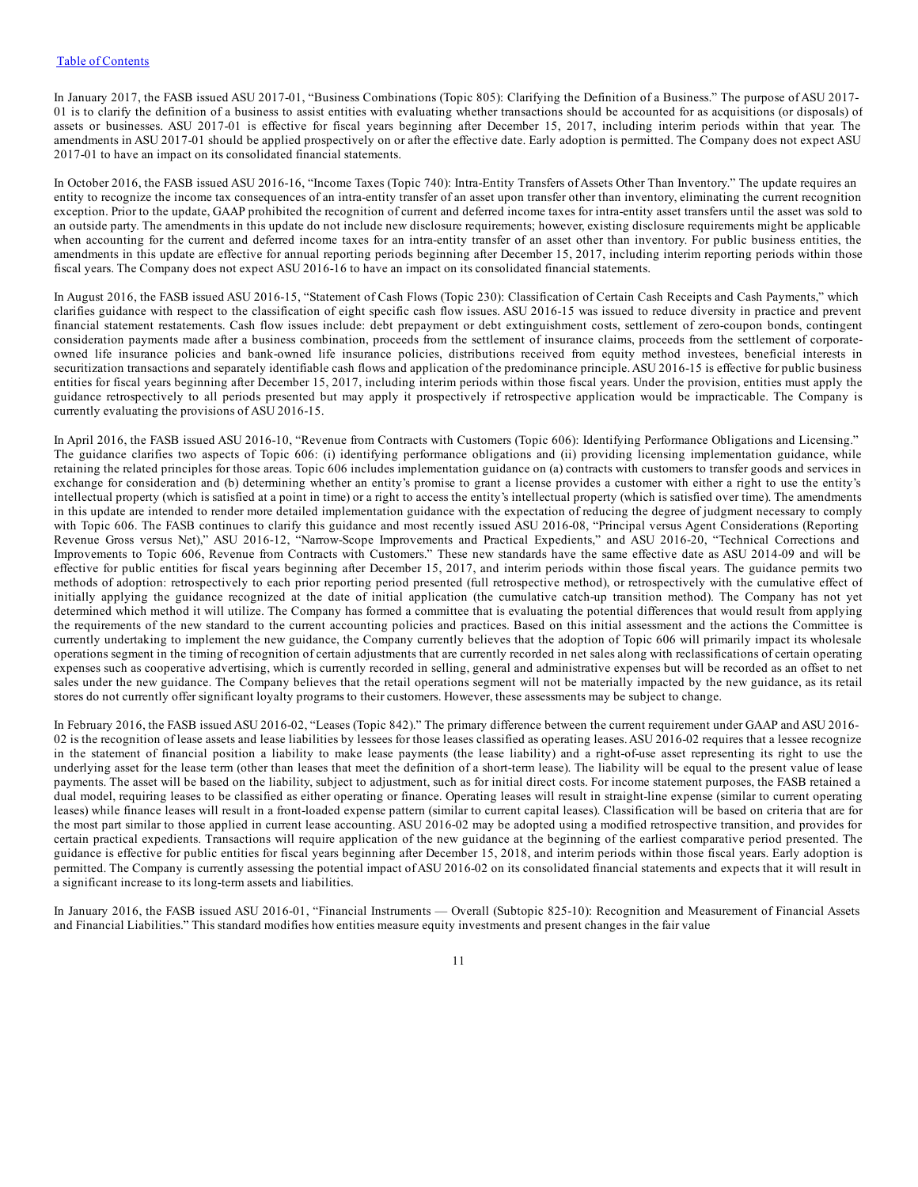In January 2017, the FASB issued ASU 2017-01, "Business Combinations (Topic 805): Clarifying the Definition of a Business." The purpose of ASU 2017- 01 is to clarify the definition of a business to assist entities with evaluating whether transactions should be accounted for as acquisitions (or disposals) of assets or businesses. ASU 2017-01 is effective for fiscal years beginning after December 15, 2017, including interim periods within that year. The amendments in ASU 2017-01 should be applied prospectively on or after the effective date. Early adoption is permitted. The Company does not expect ASU 2017-01 to have an impact on its consolidated financial statements.

In October 2016, the FASB issued ASU 2016-16, "Income Taxes (Topic 740): Intra-Entity Transfers of Assets Other Than Inventory." The update requires an entity to recognize the income tax consequences of an intra-entity transfer of an asset upon transfer other than inventory, eliminating the current recognition exception. Prior to the update, GAAP prohibited the recognition of current and deferred income taxes for intra-entity asset transfers until the asset was sold to an outside party. The amendments in this update do not include new disclosure requirements; however, existing disclosure requirements might be applicable when accounting for the current and deferred income taxes for an intra-entity transfer of an asset other than inventory. For public business entities, the amendments in this update are effective for annual reporting periods beginning after December 15, 2017, including interim reporting periods within those fiscal years. The Company does not expect ASU 2016-16 to have an impact on its consolidated financial statements.

In August 2016, the FASB issued ASU 2016-15, "Statement of Cash Flows (Topic 230): Classification of Certain Cash Receipts and Cash Payments," which clarifies guidance with respect to the classification of eight specific cash flow issues. ASU 2016-15 was issued to reduce diversity in practice and prevent financial statement restatements. Cash flow issues include: debt prepayment or debt extinguishment costs, settlement of zero-coupon bonds, contingent consideration payments made after a business combination, proceeds from the settlement of insurance claims, proceeds from the settlement of corporateowned life insurance policies and bank-owned life insurance policies, distributions received from equity method investees, beneficial interests in securitization transactions and separately identifiable cash flows and application of the predominance principle.ASU 2016-15 is effective for public business entities for fiscal years beginning after December 15, 2017, including interim periods within those fiscal years. Under the provision, entities must apply the guidance retrospectively to all periods presented but may apply it prospectively if retrospective application would be impracticable. The Company is currently evaluating the provisions of ASU 2016-15.

In April 2016, the FASB issued ASU 2016-10, "Revenue from Contracts with Customers (Topic 606): Identifying Performance Obligations and Licensing." The guidance clarifies two aspects of Topic 606: (i) identifying performance obligations and (ii) providing licensing implementation guidance, while retaining the related principles for those areas. Topic 606 includes implementation guidance on (a) contracts with customers to transfer goods and services in exchange for consideration and (b) determining whether an entity's promise to grant a license provides a customer with either a right to use the entity's intellectual property (which is satisfied at a point in time) or a right to access the entity's intellectual property (which is satisfied over time). The amendments in this update are intended to render more detailed implementation guidance with the expectation of reducing the degree of judgment necessary to comply with Topic 606. The FASB continues to clarify this guidance and most recently issued ASU 2016-08, "Principal versus Agent Considerations (Reporting Revenue Gross versus Net)," ASU 2016-12, "Narrow-Scope Improvements and Practical Expedients," and ASU 2016-20, "Technical Corrections and Improvements to Topic 606, Revenue from Contracts with Customers." These new standards have the same effective date as ASU 2014-09 and will be effective for public entities for fiscal years beginning after December 15, 2017, and interim periods within those fiscal years. The guidance permits two methods of adoption: retrospectively to each prior reporting period presented (full retrospective method), or retrospectively with the cumulative effect of initially applying the guidance recognized at the date of initial application (the cumulative catch-up transition method). The Company has not yet determined which method it will utilize. The Company has formed a committee that is evaluating the potential differences that would result from applying the requirements of the new standard to the current accounting policies and practices. Based on this initial assessment and the actions the Committee is currently undertaking to implement the new guidance, the Company currently believes that the adoption of Topic 606 will primarily impact its wholesale operations segment in the timing of recognition of certain adjustments that are currently recorded in net sales along with reclassifications of certain operating expenses such as cooperative advertising, which is currently recorded in selling, general and administrative expenses but will be recorded as an offset to net sales under the new guidance. The Company believes that the retail operations segment will not be materially impacted by the new guidance, as its retail stores do not currently offer significant loyalty programs to their customers. However, these assessments may be subject to change.

In February 2016, the FASB issued ASU 2016-02, "Leases (Topic 842)." The primary difference between the current requirement under GAAP and ASU 2016- 02 is the recognition of lease assets and lease liabilities by lessees for those leases classified as operating leases. ASU 2016-02 requires that a lessee recognize in the statement of financial position a liability to make lease payments (the lease liability) and a right-of-use asset representing its right to use the underlying asset for the lease term (other than leases that meet the definition of a short-term lease). The liability will be equal to the present value of lease payments. The asset will be based on the liability, subject to adjustment, such as for initial direct costs. For income statement purposes, the FASB retained a dual model, requiring leases to be classified as either operating or finance. Operating leases will result in straight-line expense (similar to current operating leases) while finance leases will result in a front-loaded expense pattern (similar to current capital leases). Classification will be based on criteria that are for the most part similar to those applied in current lease accounting. ASU 2016-02 may be adopted using a modified retrospective transition, and provides for certain practical expedients. Transactions will require application of the new guidance at the beginning of the earliest comparative period presented. The guidance is effective for public entities for fiscal years beginning after December 15, 2018, and interim periods within those fiscal years. Early adoption is permitted. The Company is currently assessing the potential impact of ASU 2016-02 on its consolidated financial statements and expects that it will result in a significant increase to its long-term assets and liabilities.

In January 2016, the FASB issued ASU 2016-01, "Financial Instruments — Overall (Subtopic 825-10): Recognition and Measurement of Financial Assets and Financial Liabilities." This standard modifies how entities measure equity investments and present changes in the fair value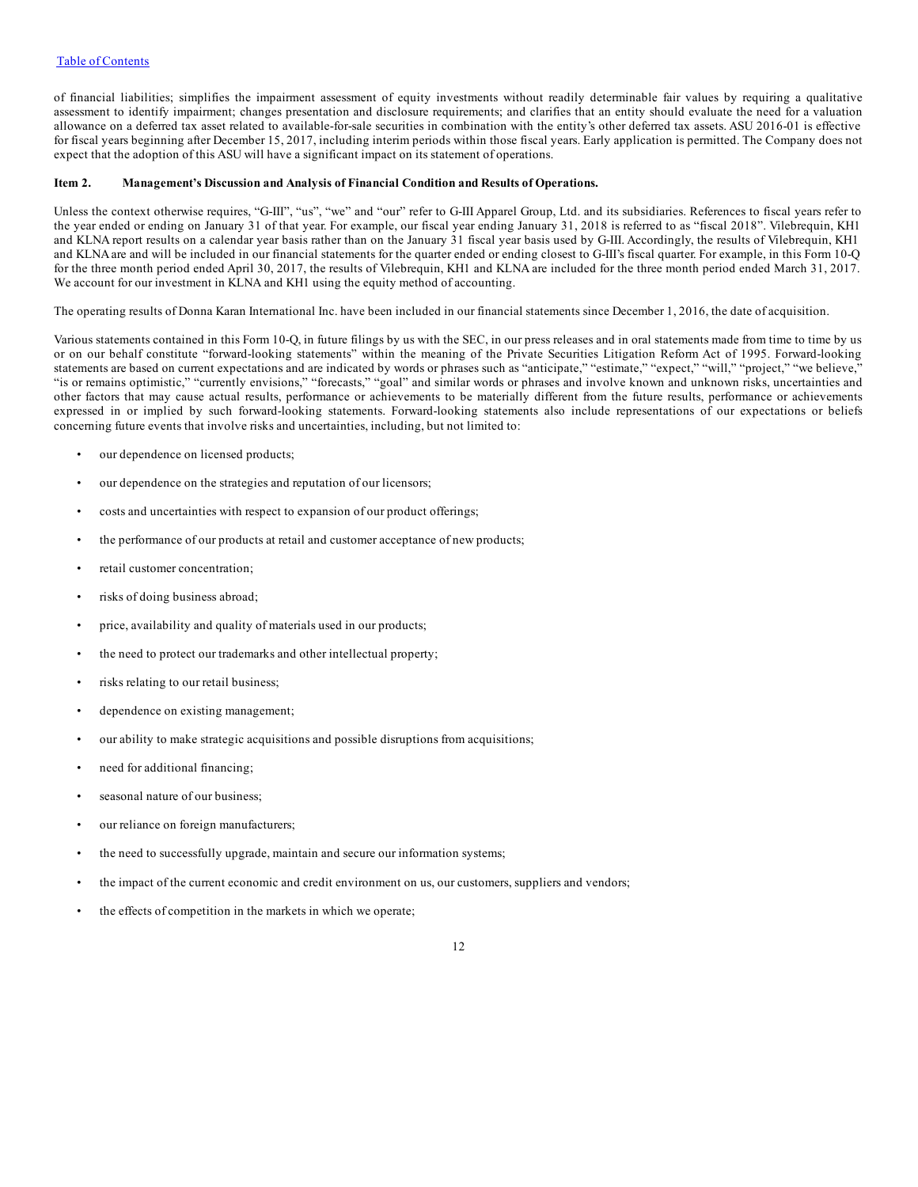<span id="page-11-0"></span>of financial liabilities; simplifies the impairment assessment of equity investments without readily determinable fair values by requiring a qualitative assessment to identify impairment; changes presentation and disclosure requirements; and clarifies that an entity should evaluate the need for a valuation allowance on a deferred tax asset related to available-for-sale securities in combination with the entity's other deferred tax assets. ASU 2016-01 is effective for fiscal years beginning after December 15, 2017, including interim periods within those fiscal years. Early application is permitted. The Company does not expect that the adoption of this ASU will have a significant impact on its statement of operations.

#### **Item 2. Management's Discussion and Analysis of Financial Condition and Results of Operations.**

Unless the context otherwise requires, "G-III", "us", "we" and "our" refer to G-III Apparel Group, Ltd. and its subsidiaries. References to fiscal years refer to the year ended or ending on January 31 of that year. For example, our fiscal year ending January 31, 2018 is referred to as "fiscal 2018". Vilebrequin, KH1 and KLNA report results on a calendar year basis rather than on the January 31 fiscal year basis used by G-III. Accordingly, the results of Vilebrequin, KH1 and KLNA are and will be included in our financial statements for the quarter ended or ending closest to G-III's fiscal quarter. For example, in this Form 10-Q for the three month period ended April 30, 2017, the results of Vilebrequin, KH1 and KLNA are included for the three month period ended March 31, 2017. We account for our investment in KLNA and KH1 using the equity method of accounting.

The operating results of Donna Karan International Inc. have been included in our financial statements since December 1, 2016, the date of acquisition.

Various statements contained in this Form 10-Q, in future filings by us with the SEC, in our press releases and in oral statements made from time to time by us or on our behalf constitute "forward-looking statements" within the meaning of the Private Securities Litigation Reform Act of 1995. Forward-looking statements are based on current expectations and are indicated by words or phrases such as "anticipate," "estimate," "expect," "will," "project," "we believe," "is or remains optimistic," "currently envisions," "forecasts," "goal" and similar words or phrases and involve known and unknown risks, uncertainties and other factors that may cause actual results, performance or achievements to be materially different from the future results, performance or achievements expressed in or implied by such forward-looking statements. Forward-looking statements also include representations of our expectations or beliefs concerning future events that involve risks and uncertainties, including, but not limited to:

- our dependence on licensed products;
- our dependence on the strategies and reputation of our licensors;
- costs and uncertainties with respect to expansion of our product offerings;
- the performance of our products at retail and customer acceptance of new products;
- retail customer concentration;
- risks of doing business abroad;
- price, availability and quality of materials used in our products;
- the need to protect our trademarks and other intellectual property;
- risks relating to our retail business;
- dependence on existing management;
- our ability to make strategic acquisitions and possible disruptions from acquisitions;
- need for additional financing;
- seasonal nature of our business:
- our reliance on foreign manufacturers;
- the need to successfully upgrade, maintain and secure our information systems;
- the impact of the current economic and credit environment on us, our customers, suppliers and vendors;
- the effects of competition in the markets in which we operate;
- 12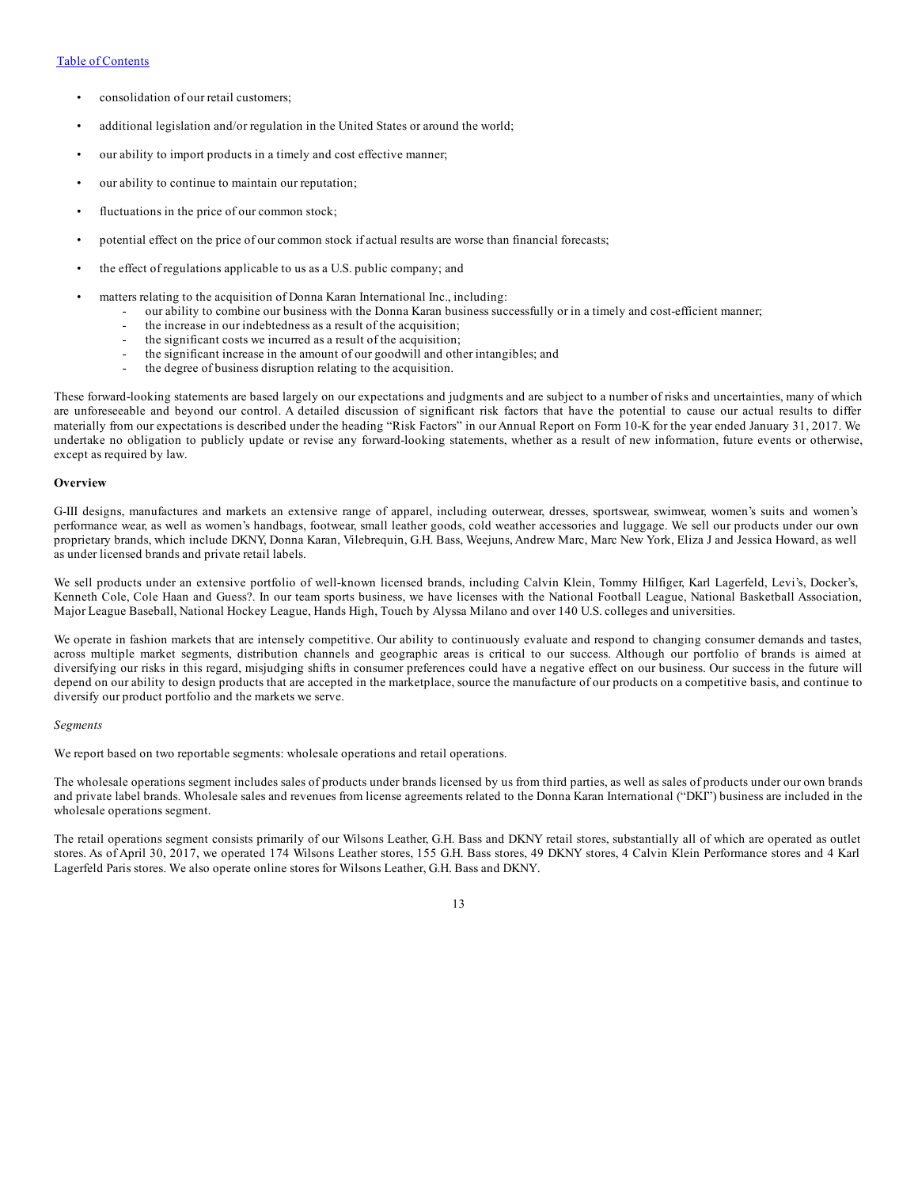- consolidation of our retail customers;
- additional legislation and/or regulation in the United States or around the world;
- our ability to import products in a timely and cost effective manner;
- our ability to continue to maintain our reputation;
- fluctuations in the price of our common stock;
- potential effect on the price of our common stock if actual results are worse than financial forecasts;
- the effect of regulations applicable to us as a U.S. public company; and
- matters relating to the acquisition of Donna Karan International Inc., including:
	- our ability to combine our business with the Donna Karan business successfully or in a timely and cost-efficient manner;
	- the increase in our indebtedness as a result of the acquisition;
	- the significant costs we incurred as a result of the acquisition;
	- the significant increase in the amount of our goodwill and other intangibles; and
	- the degree of business disruption relating to the acquisition.

These forward-looking statements are based largely on our expectations and judgments and are subject to a number of risks and uncertainties, many of which are unforeseeable and beyond our control. A detailed discussion of significant risk factors that have the potential to cause our actual results to differ materially from our expectations is described under the heading "Risk Factors" in our Annual Report on Form 10-K for the year ended January 31, 2017. We undertake no obligation to publicly update or revise any forward-looking statements, whether as a result of new information, future events or otherwise, except as required by law.

#### **Overview**

G-III designs, manufactures and markets an extensive range of apparel, including outerwear, dresses, sportswear, swimwear, women's suits and women's performance wear, as well as women's handbags, footwear, small leather goods, cold weather accessories and luggage. We sell our products under our own proprietary brands, which include DKNY, Donna Karan, Vilebrequin, G.H. Bass, Weejuns, Andrew Marc, Marc New York, Eliza J and Jessica Howard, as well as under licensed brands and private retail labels.

We sell products under an extensive portfolio of well-known licensed brands, including Calvin Klein, Tommy Hilfiger, Karl Lagerfeld, Levi's, Docker's, Kenneth Cole, Cole Haan and Guess?. In our team sports business, we have licenses with the National Football League, National Basketball Association, Major League Baseball, National Hockey League, Hands High, Touch by Alyssa Milano and over 140 U.S. colleges and universities.

We operate in fashion markets that are intensely competitive. Our ability to continuously evaluate and respond to changing consumer demands and tastes, across multiple market segments, distribution channels and geographic areas is critical to our success. Although our portfolio of brands is aimed at diversifying our risks in this regard, misjudging shifts in consumer preferences could have a negative effect on our business. Our success in the future will depend on our ability to design products that are accepted in the marketplace, source the manufacture of our products on a competitive basis, and continue to diversify our product portfolio and the markets we serve.

#### *Segments*

We report based on two reportable segments: wholesale operations and retail operations.

The wholesale operations segment includes sales of products under brands licensed by us from third parties, as well as sales of products under our own brands and private label brands. Wholesale sales and revenues from license agreements related to the Donna Karan International ("DKI") business are included in the wholesale operations segment.

The retail operations segment consists primarily of our Wilsons Leather, G.H. Bass and DKNY retail stores, substantially all of which are operated as outlet stores. As of April 30, 2017, we operated 174 Wilsons Leather stores, 155 G.H. Bass stores, 49 DKNY stores, 4 Calvin Klein Performance stores and 4 Karl Lagerfeld Paris stores. We also operate online stores for Wilsons Leather, G.H. Bass and DKNY.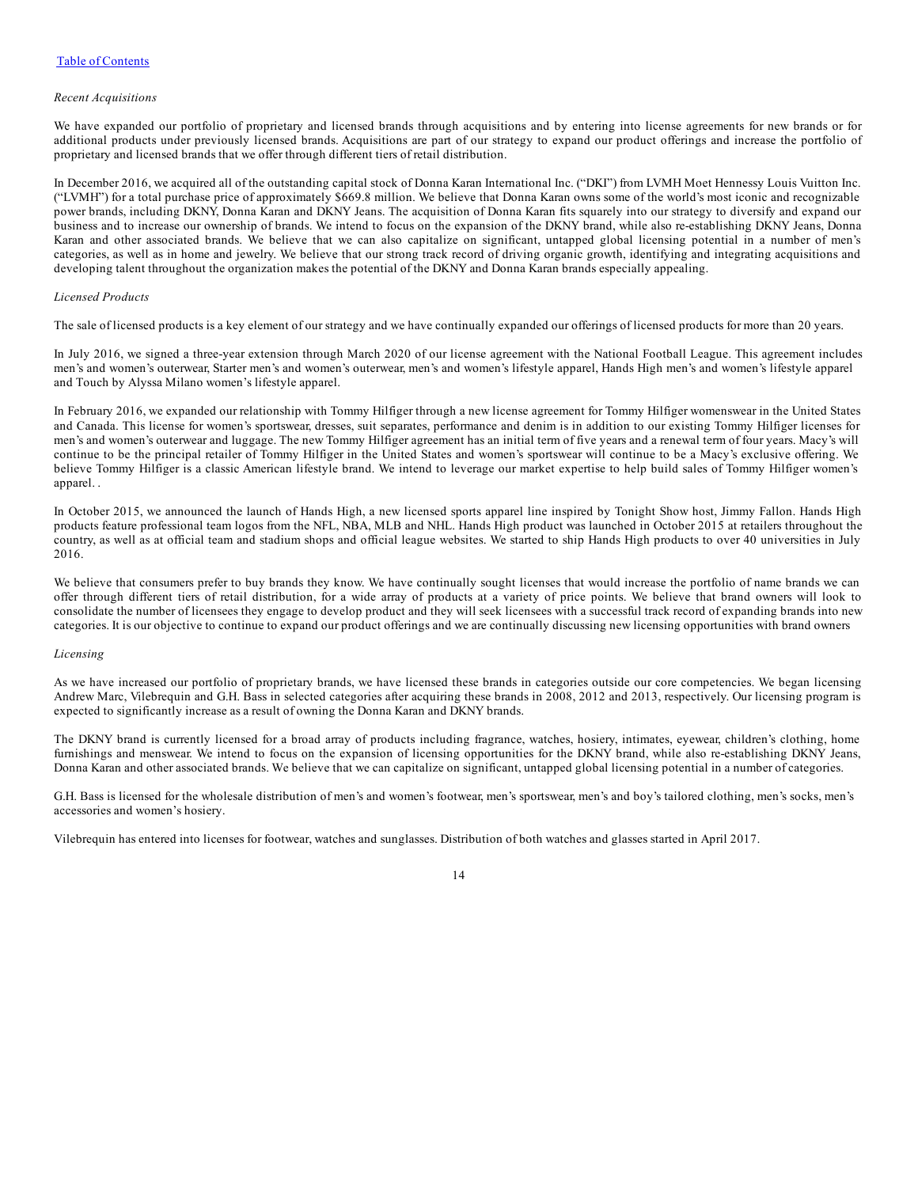#### *Recent Acquisitions*

We have expanded our portfolio of proprietary and licensed brands through acquisitions and by entering into license agreements for new brands or for additional products under previously licensed brands. Acquisitions are part of our strategy to expand our product offerings and increase the portfolio of proprietary and licensed brands that we offer through different tiers of retail distribution.

In December 2016, we acquired all of the outstanding capital stock of Donna Karan International Inc. ("DKI") from LVMH Moet Hennessy Louis Vuitton Inc. ("LVMH") for a total purchase price of approximately \$669.8 million. We believe that Donna Karan owns some of the world's most iconic and recognizable power brands, including DKNY, Donna Karan and DKNY Jeans. The acquisition of Donna Karan fits squarely into our strategy to diversify and expand our business and to increase our ownership of brands. We intend to focus on the expansion of the DKNY brand, while also re-establishing DKNY Jeans, Donna Karan and other associated brands. We believe that we can also capitalize on significant, untapped global licensing potential in a number of men's categories, as well as in home and jewelry. We believe that our strong track record of driving organic growth, identifying and integrating acquisitions and developing talent throughout the organization makes the potential of the DKNY and Donna Karan brands especially appealing.

#### *Licensed Products*

The sale of licensed products is a key element of our strategy and we have continually expanded our offerings of licensed products for more than 20 years.

In July 2016, we signed a three-year extension through March 2020 of our license agreement with the National Football League. This agreement includes men's and women's outerwear, Starter men's and women's outerwear, men's and women's lifestyle apparel, Hands High men's and women's lifestyle apparel and Touch by Alyssa Milano women's lifestyle apparel.

In February 2016, we expanded our relationship with Tommy Hilfiger through a new license agreement for Tommy Hilfiger womenswear in the United States and Canada. This license for women's sportswear, dresses, suit separates, performance and denim is in addition to our existing Tommy Hilfiger licenses for men's and women's outerwear and luggage. The new Tommy Hilfiger agreement has an initial term of five years and a renewal term of four years. Macy's will continue to be the principal retailer of Tommy Hilfiger in the United States and women's sportswear will continue to be a Macy's exclusive offering. We believe Tommy Hilfiger is a classic American lifestyle brand. We intend to leverage our market expertise to help build sales of Tommy Hilfiger women's apparel. .

In October 2015, we announced the launch of Hands High, a new licensed sports apparel line inspired by Tonight Show host, Jimmy Fallon. Hands High products feature professional team logos from the NFL, NBA, MLB and NHL. Hands High product was launched in October 2015 at retailers throughout the country, as well as at official team and stadium shops and official league websites. We started to ship Hands High products to over 40 universities in July 2016.

We believe that consumers prefer to buy brands they know. We have continually sought licenses that would increase the portfolio of name brands we can offer through different tiers of retail distribution, for a wide array of products at a variety of price points. We believe that brand owners will look to consolidate the number of licensees they engage to develop product and they will seek licensees with a successful track record of expanding brands into new categories. It is our objective to continue to expand our product offerings and we are continually discussing new licensing opportunities with brand owners

#### *Licensing*

As we have increased our portfolio of proprietary brands, we have licensed these brands in categories outside our core competencies. We began licensing Andrew Marc, Vilebrequin and G.H. Bass in selected categories after acquiring these brands in 2008, 2012 and 2013, respectively. Our licensing program is expected to significantly increase as a result of owning the Donna Karan and DKNY brands.

The DKNY brand is currently licensed for a broad array of products including fragrance, watches, hosiery, intimates, eyewear, children's clothing, home furnishings and menswear. We intend to focus on the expansion of licensing opportunities for the DKNY brand, while also re-establishing DKNY Jeans, Donna Karan and other associated brands. We believe that we can capitalize on significant, untapped global licensing potential in a number of categories.

G.H. Bass is licensed for the wholesale distribution of men's and women's footwear, men's sportswear, men's and boy's tailored clothing, men's socks, men's accessories and women's hosiery.

Vilebrequin has entered into licenses for footwear, watches and sunglasses. Distribution of both watches and glasses started in April 2017.

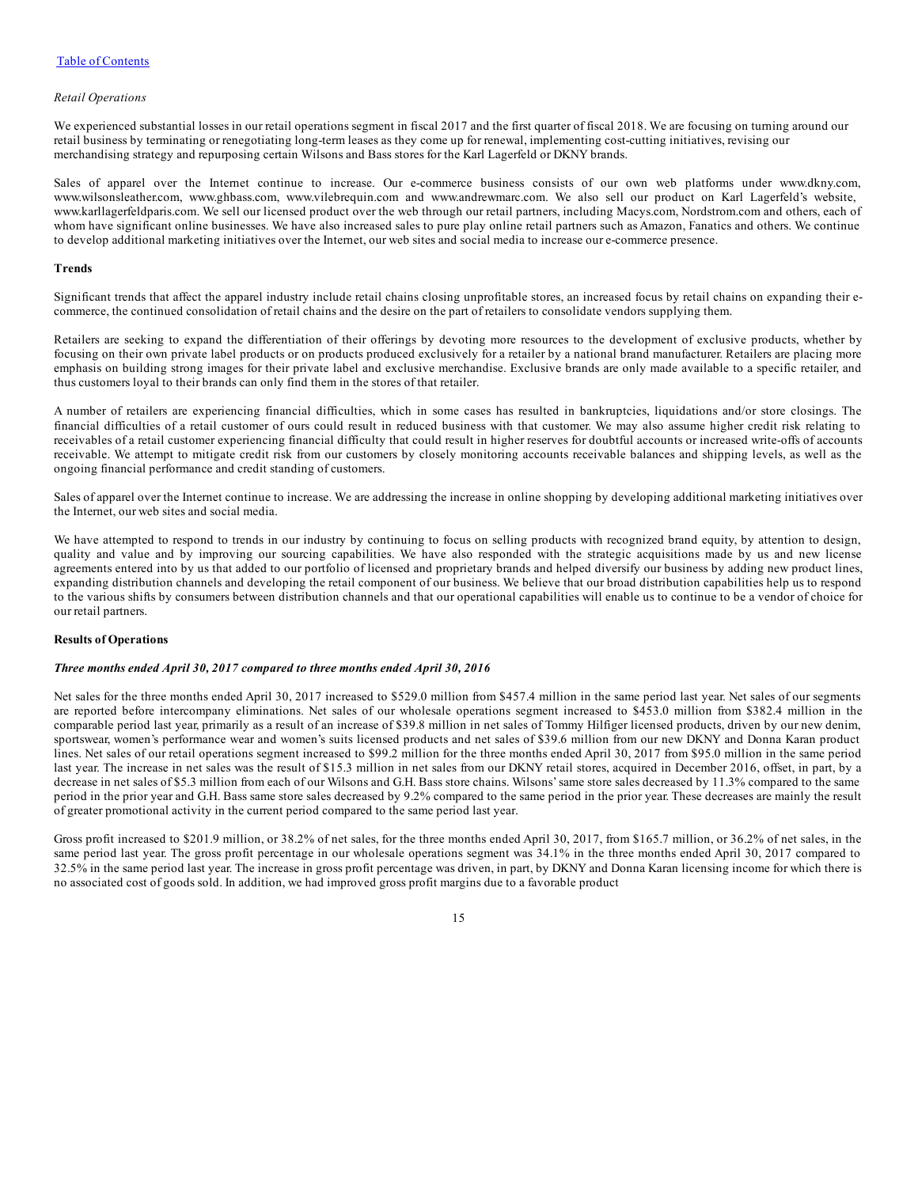#### *Retail Operations*

We experienced substantial losses in our retail operations segment in fiscal 2017 and the first quarter of fiscal 2018. We are focusing on turning around our retail business by terminating or renegotiating long-term leases as they come up for renewal, implementing cost-cutting initiatives, revising our merchandising strategy and repurposing certain Wilsons and Bass stores for the Karl Lagerfeld or DKNY brands.

Sales of apparel over the Internet continue to increase. Our e-commerce business consists of our own web platforms under www.dkny.com, www.wilsonsleather.com, www.ghbass.com, www.vilebrequin.com and www.andrewmarc.com. We also sell our product on Karl Lagerfeld's website, www.karllagerfeldparis.com. We sell our licensed product over the web through our retail partners, including Macys.com, Nordstrom.com and others, each of whom have significant online businesses. We have also increased sales to pure play online retail partners such as Amazon, Fanatics and others. We continue to develop additional marketing initiatives over the Internet, our web sites and social media to increase our e-commerce presence.

#### **Trends**

Significant trends that affect the apparel industry include retail chains closing unprofitable stores, an increased focus by retail chains on expanding their ecommerce, the continued consolidation of retail chains and the desire on the part of retailers to consolidate vendors supplying them.

Retailers are seeking to expand the differentiation of their offerings by devoting more resources to the development of exclusive products, whether by focusing on their own private label products or on products produced exclusively for a retailer by a national brand manufacturer. Retailers are placing more emphasis on building strong images for their private label and exclusive merchandise. Exclusive brands are only made available to a specific retailer, and thus customers loyal to their brands can only find them in the stores of that retailer.

A number of retailers are experiencing financial difficulties, which in some cases has resulted in bankruptcies, liquidations and/or store closings. The financial difficulties of a retail customer of ours could result in reduced business with that customer. We may also assume higher credit risk relating to receivables of a retail customer experiencing financial difficulty that could result in higher reserves for doubtful accounts or increased write-offs of accounts receivable. We attempt to mitigate credit risk from our customers by closely monitoring accounts receivable balances and shipping levels, as well as the ongoing financial performance and credit standing of customers.

Sales of apparel over the Internet continue to increase. We are addressing the increase in online shopping by developing additional marketing initiatives over the Internet, our web sites and social media.

We have attempted to respond to trends in our industry by continuing to focus on selling products with recognized brand equity, by attention to design, quality and value and by improving our sourcing capabilities. We have also responded with the strategic acquisitions made by us and new license agreements entered into by us that added to our portfolio of licensed and proprietary brands and helped diversify our business by adding new product lines, expanding distribution channels and developing the retail component of our business. We believe that our broad distribution capabilities help us to respond to the various shifts by consumers between distribution channels and that our operational capabilities will enable us to continue to be a vendor of choice for our retail partners.

#### **Results of Operations**

#### *Three months ended April 30, 2017 compared to three months ended April 30, 2016*

Net sales for the three months ended April 30, 2017 increased to \$529.0 million from \$457.4 million in the same period last year. Net sales of our segments are reported before intercompany eliminations. Net sales of our wholesale operations segment increased to \$453.0 million from \$382.4 million in the comparable period last year, primarily as a result of an increase of \$39.8 million in net sales of Tommy Hilfiger licensed products, driven by our new denim, sportswear, women's performance wear and women's suits licensed products and net sales of \$39.6 million from our new DKNY and Donna Karan product lines. Net sales of our retail operations segment increased to \$99.2 million for the three months ended April 30, 2017 from \$95.0 million in the same period last year. The increase in net sales was the result of \$15.3 million in net sales from our DKNY retail stores, acquired in December 2016, offset, in part, by a decrease in net sales of \$5.3 million from each of our Wilsons and G.H. Bass store chains. Wilsons'same store sales decreased by 11.3% compared to the same period in the prior year and G.H. Bass same store sales decreased by 9.2% compared to the same period in the prior year. These decreases are mainly the result of greater promotional activity in the current period compared to the same period last year.

Gross profit increased to \$201.9 million, or 38.2% of net sales, for the three months ended April 30, 2017, from \$165.7 million, or 36.2% of net sales, in the same period last year. The gross profit percentage in our wholesale operations segment was 34.1% in the three months ended April 30, 2017 compared to 32.5% in the same period last year. The increase in gross profit percentage was driven, in part, by DKNY and Donna Karan licensing income for which there is no associated cost of goods sold. In addition, we had improved gross profit margins due to a favorable product

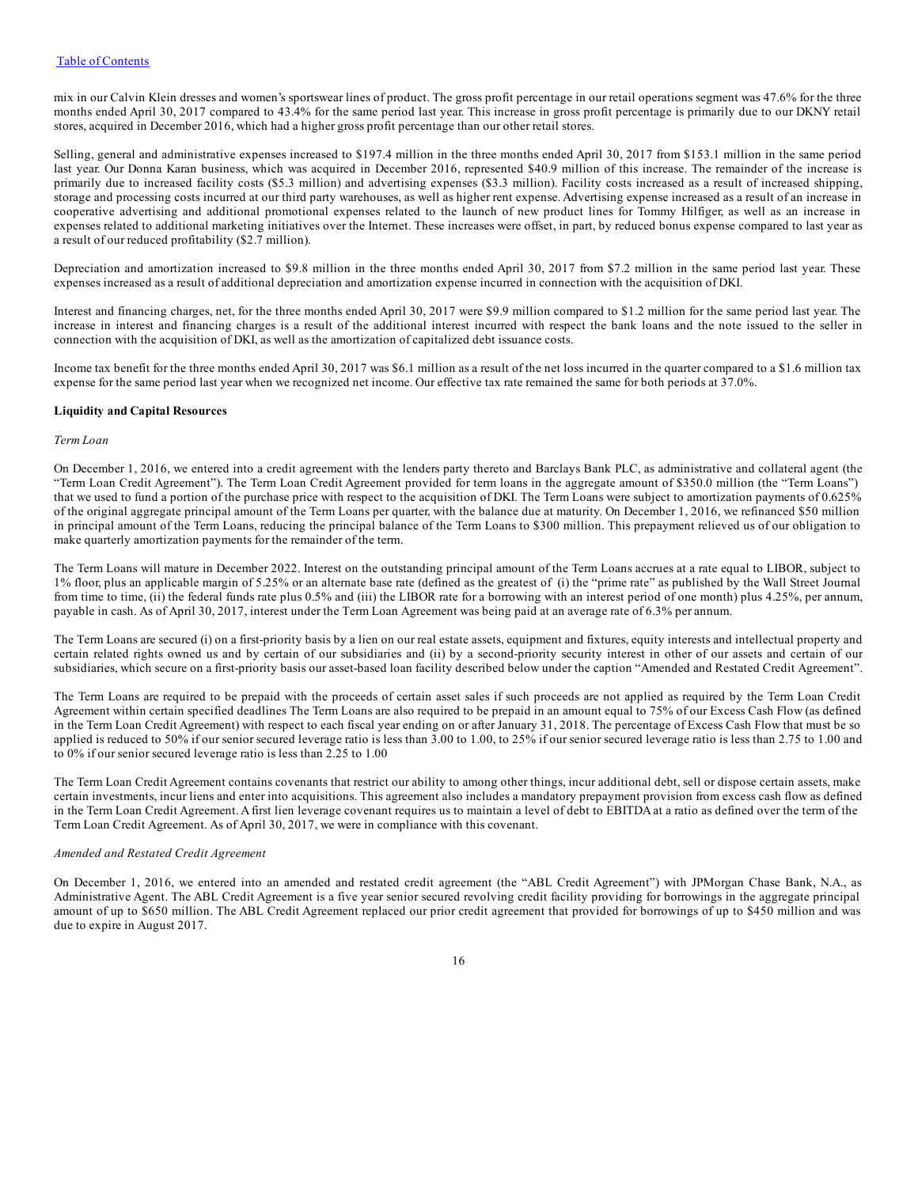mix in our Calvin Klein dresses and women's sportswear lines of product. The gross profit percentage in our retail operations segment was 47.6% for the three months ended April 30, 2017 compared to 43.4% for the same period last year. This increase in gross profit percentage is primarily due to our DKNY retail stores, acquired in December 2016, which had a higher gross profit percentage than our other retail stores.

Selling, general and administrative expenses increased to \$197.4 million in the three months ended April 30, 2017 from \$153.1 million in the same period last year. Our Donna Karan business, which was acquired in December 2016, represented \$40.9 million of this increase. The remainder of the increase is primarily due to increased facility costs (\$5.3 million) and advertising expenses (\$3.3 million). Facility costs increased as a result of increased shipping, storage and processing costs incurred at our third party warehouses, as well as higher rent expense. Advertising expense increased as a result of an increase in cooperative advertising and additional promotional expenses related to the launch of new product lines for Tommy Hilfiger, as well as an increase in expenses related to additional marketing initiatives over the Internet. These increases were offset, in part, by reduced bonus expense compared to last year as a result of our reduced profitability (\$2.7 million).

Depreciation and amortization increased to \$9.8 million in the three months ended April 30, 2017 from \$7.2 million in the same period last year. These expenses increased as a result of additional depreciation and amortization expense incurred in connection with the acquisition of DKI.

Interest and financing charges, net, for the three months ended April 30, 2017 were \$9.9 million compared to \$1.2 million for the same period last year. The increase in interest and financing charges is a result of the additional interest incurred with respect the bank loans and the note issued to the seller in connection with the acquisition of DKI, as well as the amortization of capitalized debt issuance costs.

Income tax benefit for the three months ended April 30, 2017 was \$6.1 million as a result of the net loss incurred in the quarter compared to a \$1.6 million tax expense for the same period last year when we recognized net income. Our effective tax rate remained the same for both periods at 37.0%.

#### **Liquidity and Capital Resources**

#### *Term Loan*

On December 1, 2016, we entered into a credit agreement with the lenders party thereto and Barclays Bank PLC, as administrative and collateral agent (the "Term Loan Credit Agreement"). The Term Loan Credit Agreement provided for term loans in the aggregate amount of \$350.0 million (the "Term Loans") that we used to fund a portion of the purchase price with respect to the acquisition of DKI. The Term Loans were subject to amortization payments of 0.625% of the original aggregate principal amount of the Term Loans per quarter, with the balance due at maturity. On December 1, 2016, we refinanced \$50 million in principal amount of the Term Loans, reducing the principal balance of the Term Loans to \$300 million. This prepayment relieved us of our obligation to make quarterly amortization payments for the remainder of the term.

The Term Loans will mature in December 2022. Interest on the outstanding principal amount of the Term Loans accrues at a rate equal to LIBOR, subject to 1% floor, plus an applicable margin of 5.25% or an alternate base rate (defined as the greatest of (i) the "prime rate" as published by the Wall Street Journal from time to time, (ii) the federal funds rate plus 0.5% and (iii) the LIBOR rate for a borrowing with an interest period of one month) plus 4.25%, per annum, payable in cash. As of April 30, 2017, interest under the Term Loan Agreement was being paid at an average rate of 6.3% per annum.

The Term Loans are secured (i) on a first-priority basis by a lien on our real estate assets, equipment and fixtures, equity interests and intellectual property and certain related rights owned us and by certain of our subsidiaries and (ii) by a second-priority security interest in other of our assets and certain of our subsidiaries, which secure on a first-priority basis our asset-based loan facility described below under the caption "Amended and Restated Credit Agreement".

The Term Loans are required to be prepaid with the proceeds of certain asset sales if such proceeds are not applied as required by the Term Loan Credit Agreement within certain specified deadlines The Term Loans are also required to be prepaid in an amount equal to 75% of our Excess Cash Flow (as defined in the Term Loan Credit Agreement) with respect to each fiscal year ending on or after January 31, 2018. The percentage of Excess Cash Flow that must be so applied is reduced to 50% if our senior secured leverage ratio is less than  $3.00$  to 1.00, to 25% if our senior secured leverage ratio is less than 2.75 to 1.00 and to 0% if our senior secured leverage ratio is less than 2.25 to 1.00

The Term Loan Credit Agreement contains covenants that restrict our ability to among other things, incur additional debt, sell or dispose certain assets, make certain investments, incur liens and enter into acquisitions. This agreement also includes a mandatory prepayment provision from excess cash flow as defined in the Term Loan Credit Agreement. A first lien leverage covenant requires us to maintain a level of debt to EBITDA at a ratio as defined over the term of the Term Loan Credit Agreement. As of April 30, 2017, we were in compliance with this covenant.

#### *Amended and Restated Credit Agreement*

On December 1, 2016, we entered into an amended and restated credit agreement (the "ABL Credit Agreement") with JPMorgan Chase Bank, N.A., as Administrative Agent. The ABL Credit Agreement is a five year senior secured revolving credit facility providing for borrowings in the aggregate principal amount of up to \$650 million. The ABL Credit Agreement replaced our prior credit agreement that provided for borrowings of up to \$450 million and was due to expire in August 2017.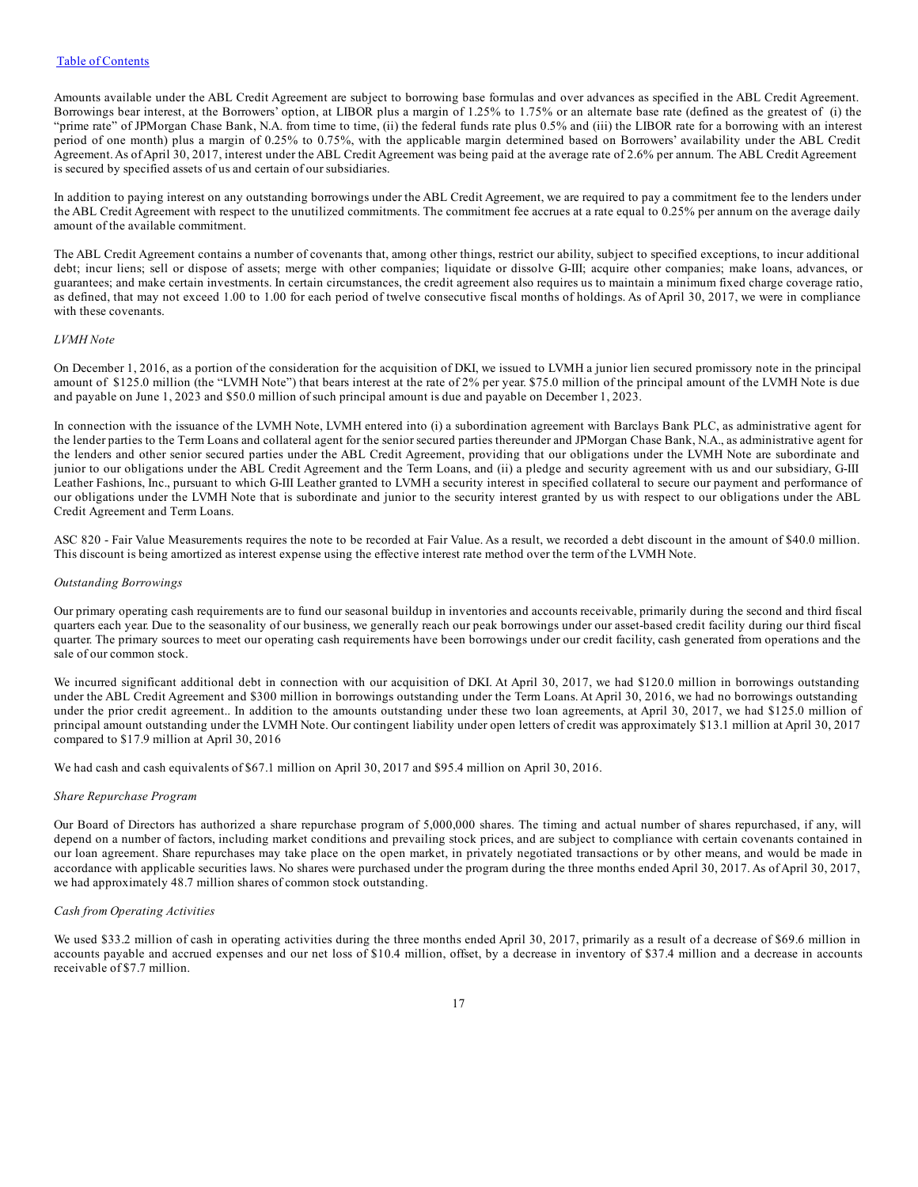Amounts available under the ABL Credit Agreement are subject to borrowing base formulas and over advances as specified in the ABL Credit Agreement. Borrowings bear interest, at the Borrowers' option, at LIBOR plus a margin of 1.25% to 1.75% or an alternate base rate (defined as the greatest of (i) the "prime rate" of JPMorgan Chase Bank, N.A. from time to time, (ii) the federal funds rate plus 0.5% and (iii) the LIBOR rate for a borrowing with an interest period of one month) plus a margin of 0.25% to 0.75%, with the applicable margin determined based on Borrowers' availability under the ABL Credit Agreement.As ofApril 30, 2017, interest under the ABL Credit Agreement was being paid at the average rate of 2.6% per annum. The ABL Credit Agreement is secured by specified assets of us and certain of our subsidiaries.

In addition to paying interest on any outstanding borrowings under the ABL Credit Agreement, we are required to pay a commitment fee to the lenders under the ABL Credit Agreement with respect to the unutilized commitments. The commitment fee accrues at a rate equal to 0.25% per annum on the average daily amount of the available commitment.

The ABL Credit Agreement contains a number of covenants that, among other things, restrict our ability, subject to specified exceptions, to incur additional debt; incur liens; sell or dispose of assets; merge with other companies; liquidate or dissolve G-III; acquire other companies; make loans, advances, or guarantees; and make certain investments. In certain circumstances, the credit agreement also requires us to maintain a minimum fixed charge coverage ratio, as defined, that may not exceed 1.00 to 1.00 for each period of twelve consecutive fiscal months of holdings. As of April 30, 2017, we were in compliance with these covenants.

#### *LVMH Note*

On December 1, 2016, as a portion of the consideration for the acquisition of DKI, we issued to LVMH a junior lien secured promissory note in the principal amount of \$125.0 million (the "LVMH Note") that bears interest at the rate of 2% per year. \$75.0 million of the principal amount of the LVMH Note is due and payable on June 1, 2023 and \$50.0 million of such principal amount is due and payable on December 1, 2023.

In connection with the issuance of the LVMH Note, LVMH entered into (i) a subordination agreement with Barclays Bank PLC, as administrative agent for the lender parties to the Term Loans and collateral agent for the senior secured parties thereunder and JPMorgan Chase Bank, N.A., as administrative agent for the lenders and other senior secured parties under the ABL Credit Agreement, providing that our obligations under the LVMH Note are subordinate and junior to our obligations under the ABL Credit Agreement and the Term Loans, and (ii) a pledge and security agreement with us and our subsidiary, G-III Leather Fashions, Inc., pursuant to which G-III Leather granted to LVMH a security interest in specified collateral to secure our payment and performance of our obligations under the LVMH Note that is subordinate and junior to the security interest granted by us with respect to our obligations under the ABL Credit Agreement and Term Loans.

ASC 820 - Fair Value Measurements requires the note to be recorded at Fair Value. As a result, we recorded a debt discount in the amount of \$40.0 million. This discount is being amortized as interest expense using the effective interest rate method over the term of the LVMH Note.

#### *Outstanding Borrowings*

Our primary operating cash requirements are to fund our seasonal buildup in inventories and accounts receivable, primarily during the second and third fiscal quarters each year. Due to the seasonality of our business, we generally reach our peak borrowings under our asset-based credit facility during our third fiscal quarter. The primary sources to meet our operating cash requirements have been borrowings under our credit facility, cash generated from operations and the sale of our common stock.

We incurred significant additional debt in connection with our acquisition of DKI. At April 30, 2017, we had \$120.0 million in borrowings outstanding under the ABL Credit Agreement and \$300 million in borrowings outstanding under the Term Loans. At April 30, 2016, we had no borrowings outstanding under the prior credit agreement.. In addition to the amounts outstanding under these two loan agreements, at April 30, 2017, we had \$125.0 million of principal amount outstanding under the LVMH Note. Our contingent liability under open letters of credit was approximately \$13.1 million at April 30, 2017 compared to \$17.9 million at April 30, 2016

We had cash and cash equivalents of \$67.1 million on April 30, 2017 and \$95.4 million on April 30, 2016.

#### *Share Repurchase Program*

Our Board of Directors has authorized a share repurchase program of 5,000,000 shares. The timing and actual number of shares repurchased, if any, will depend on a number of factors, including market conditions and prevailing stock prices, and are subject to compliance with certain covenants contained in our loan agreement. Share repurchases may take place on the open market, in privately negotiated transactions or by other means, and would be made in accordance with applicable securities laws. No shares were purchased under the program during the three months ended April 30, 2017. As of April 30, 2017, we had approximately 48.7 million shares of common stock outstanding.

#### *Cash from Operating Activities*

We used \$33.2 million of cash in operating activities during the three months ended April 30, 2017, primarily as a result of a decrease of \$69.6 million in accounts payable and accrued expenses and our net loss of \$10.4 million, offset, by a decrease in inventory of \$37.4 million and a decrease in accounts receivable of \$7.7 million.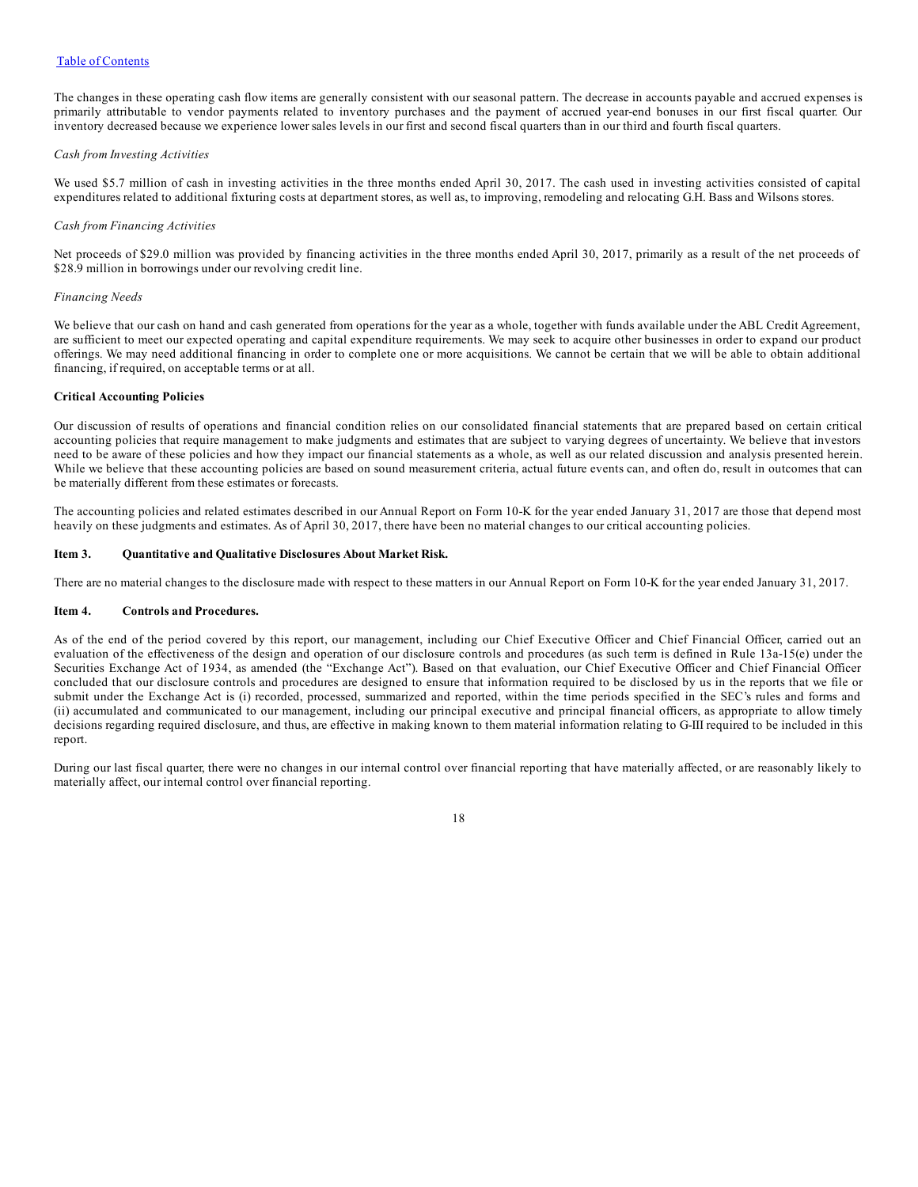<span id="page-17-0"></span>The changes in these operating cash flow items are generally consistent with our seasonal pattern. The decrease in accounts payable and accrued expenses is primarily attributable to vendor payments related to inventory purchases and the payment of accrued year-end bonuses in our first fiscal quarter. Our inventory decreased because we experience lower sales levels in our first and second fiscal quarters than in our third and fourth fiscal quarters.

#### *Cash from Investing Activities*

We used \$5.7 million of cash in investing activities in the three months ended April 30, 2017. The cash used in investing activities consisted of capital expenditures related to additional fixturing costs at department stores, as well as, to improving, remodeling and relocating G.H. Bass and Wilsons stores.

#### *Cash from Financing Activities*

Net proceeds of \$29.0 million was provided by financing activities in the three months ended April 30, 2017, primarily as a result of the net proceeds of \$28.9 million in borrowings under our revolving credit line.

#### *Financing Needs*

We believe that our cash on hand and cash generated from operations for the year as a whole, together with funds available under the ABL Credit Agreement, are sufficient to meet our expected operating and capital expenditure requirements. We may seek to acquire other businesses in order to expand our product offerings. We may need additional financing in order to complete one or more acquisitions. We cannot be certain that we will be able to obtain additional financing, if required, on acceptable terms or at all.

#### **Critical Accounting Policies**

Our discussion of results of operations and financial condition relies on our consolidated financial statements that are prepared based on certain critical accounting policies that require management to make judgments and estimates that are subject to varying degrees of uncertainty. We believe that investors need to be aware of these policies and how they impact our financial statements as a whole, as well as our related discussion and analysis presented herein. While we believe that these accounting policies are based on sound measurement criteria, actual future events can, and often do, result in outcomes that can be materially different from these estimates or forecasts.

The accounting policies and related estimates described in our Annual Report on Form 10-K for the year ended January 31, 2017 are those that depend most heavily on these judgments and estimates. As of April 30, 2017, there have been no material changes to our critical accounting policies.

#### **Item 3. Quantitative and Qualitative Disclosures About Market Risk.**

There are no material changes to the disclosure made with respect to these matters in our Annual Report on Form 10-K for the year ended January 31, 2017.

#### **Item 4. Controls and Procedures.**

As of the end of the period covered by this report, our management, including our Chief Executive Officer and Chief Financial Officer, carried out an evaluation of the effectiveness of the design and operation of our disclosure controls and procedures (as such term is defined in Rule 13a-15(e) under the Securities Exchange Act of 1934, as amended (the "Exchange Act"). Based on that evaluation, our Chief Executive Officer and Chief Financial Officer concluded that our disclosure controls and procedures are designed to ensure that information required to be disclosed by us in the reports that we file or submit under the Exchange Act is (i) recorded, processed, summarized and reported, within the time periods specified in the SEC's rules and forms and (ii) accumulated and communicated to our management, including our principal executive and principal financial officers, as appropriate to allow timely decisions regarding required disclosure, and thus, are effective in making known to them material information relating to G-III required to be included in this report.

During our last fiscal quarter, there were no changes in our internal control over financial reporting that have materially affected, or are reasonably likely to materially affect, our internal control over financial reporting.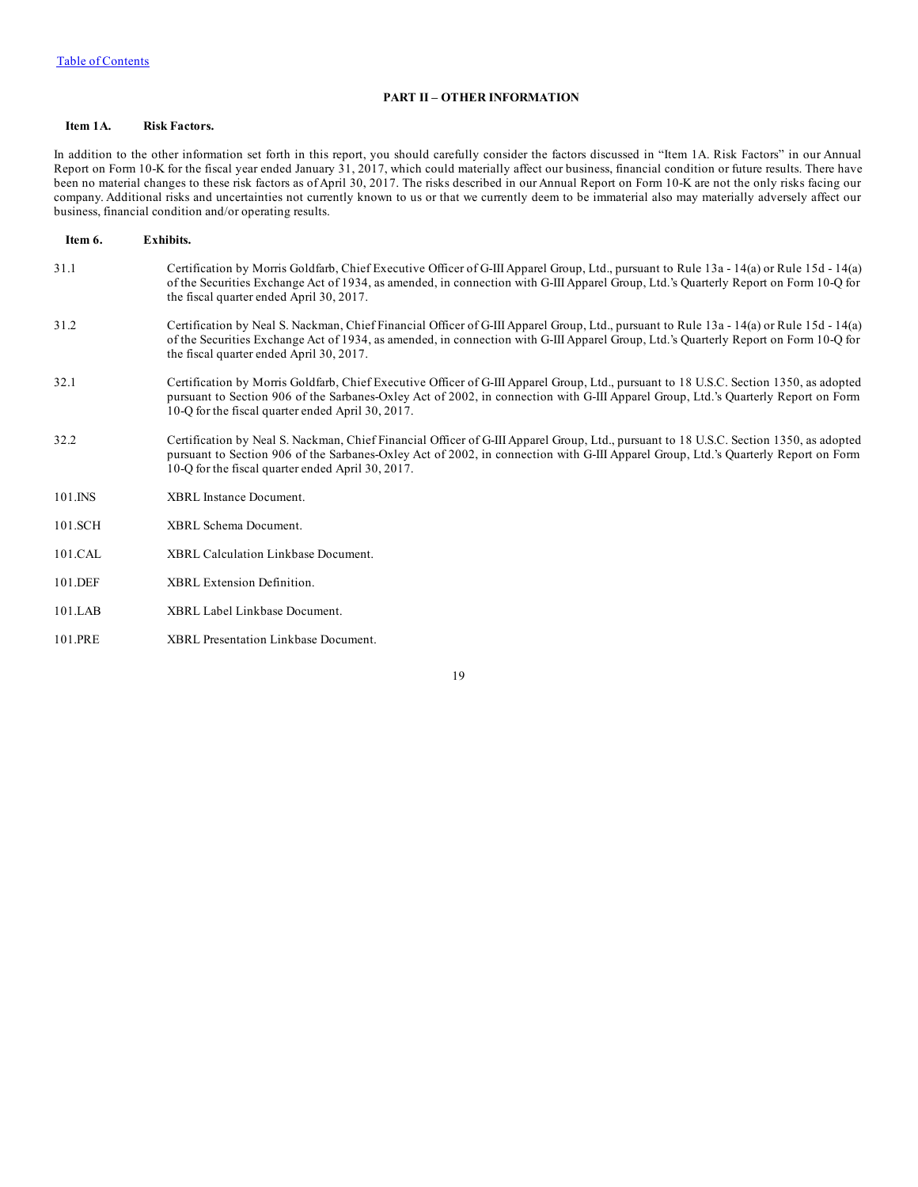## **PART II – OTHER INFORMATION**

#### <span id="page-18-0"></span>**Item 1A. Risk Factors.**

In addition to the other information set forth in this report, you should carefully consider the factors discussed in "Item 1A. Risk Factors" in our Annual Report on Form 10-K for the fiscal year ended January  $31, 2017$ , which could materially affect our business, financial condition or future results. There have been no material changes to these risk factors as of April 30, 2017. The risks described in our Annual Report on Form 10-K are not the only risks facing our company. Additional risks and uncertainties not currently known to us or that we currently deem to be immaterial also may materially adversely affect our business, financial condition and/or operating results.

| Item 6.     | <b>Exhibits.</b>                                                                                                                                                                                                                                                                                                                  |
|-------------|-----------------------------------------------------------------------------------------------------------------------------------------------------------------------------------------------------------------------------------------------------------------------------------------------------------------------------------|
| 31.1        | Certification by Morris Goldfarb, Chief Executive Officer of G-III Apparel Group, Ltd., pursuant to Rule 13a - 14(a) or Rule 15d - 14(a)<br>of the Securities Exchange Act of 1934, as amended, in connection with G-III Apparel Group, Ltd.'s Quarterly Report on Form 10-Q for<br>the fiscal quarter ended April 30, 2017.      |
| 31.2        | Certification by Neal S. Nackman, Chief Financial Officer of G-III Apparel Group, Ltd., pursuant to Rule 13a - 14(a) or Rule 15d - 14(a)<br>of the Securities Exchange Act of 1934, as amended, in connection with G-III Apparel Group, Ltd.'s Quarterly Report on Form 10-Q for<br>the fiscal quarter ended April 30, 2017.      |
| 32.1        | Certification by Morris Goldfarb, Chief Executive Officer of G-III Apparel Group, Ltd., pursuant to 18 U.S.C. Section 1350, as adopted<br>pursuant to Section 906 of the Sarbanes-Oxley Act of 2002, in connection with G-III Apparel Group, Ltd.'s Quarterly Report on Form<br>10-O for the fiscal quarter ended April 30, 2017. |
| 32.2        | Certification by Neal S. Nackman, Chief Financial Officer of G-III Apparel Group, Ltd., pursuant to 18 U.S.C. Section 1350, as adopted<br>pursuant to Section 906 of the Sarbanes-Oxley Act of 2002, in connection with G-III Apparel Group, Ltd.'s Quarterly Report on Form<br>10-O for the fiscal quarter ended April 30, 2017. |
| $101$ . INS | XBRL Instance Document.                                                                                                                                                                                                                                                                                                           |
| 101.SCH     | <b>XBRL</b> Schema Document.                                                                                                                                                                                                                                                                                                      |
| 101.CAL     | XBRL Calculation Linkbase Document.                                                                                                                                                                                                                                                                                               |
| 101.DEF     | <b>XBRL</b> Extension Definition.                                                                                                                                                                                                                                                                                                 |
| 101.LAB     | XBRL Label Linkbase Document.                                                                                                                                                                                                                                                                                                     |

101.PRE XBRL Presentation Linkbase Document.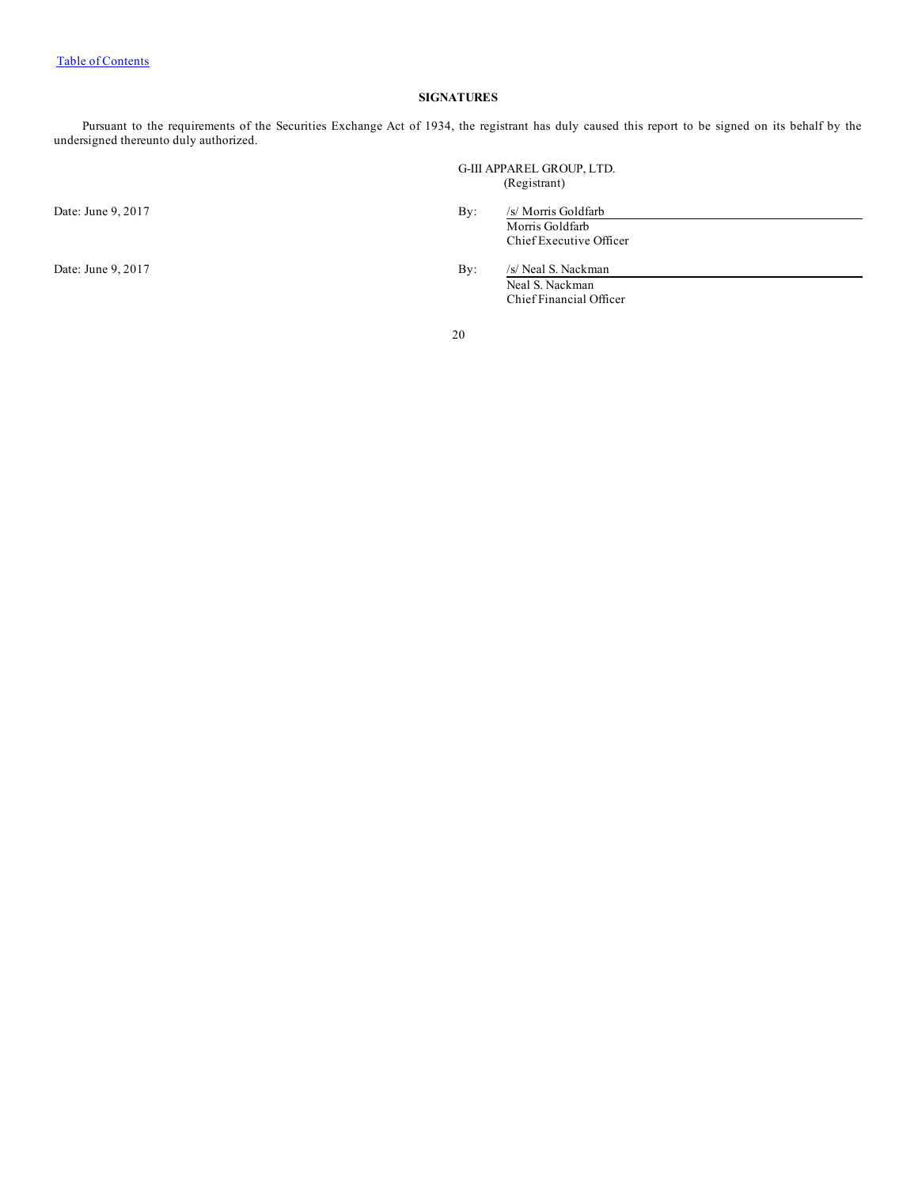## **SIGNATURES**

Pursuant to the requirements of the Securities Exchange Act of 1934, the registrant has duly caused this report to be signed on its behalf by the undersigned thereunto duly authorized.

G-III APPAREL GROUP, LTD. (Registrant)

Date: June 9, 2017 By: /s/ Morris Goldfarb

Morris Goldfarb Chief Executive Officer

Date: June 9, 2017 By: /s/ Neal S. Nackman Neal S. Nackman Chief Financial Officer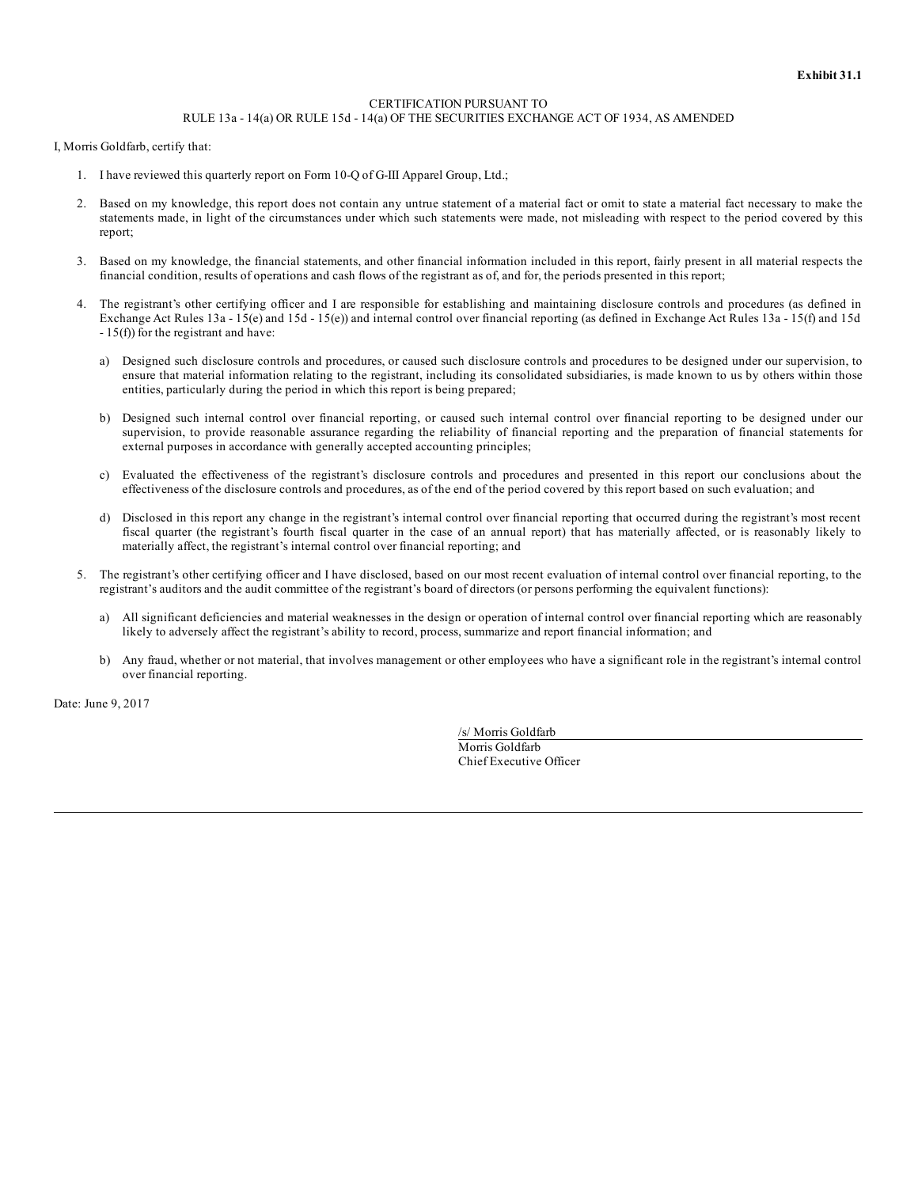#### CERTIFICATION PURSUANT TO RULE 13a - 14(a) OR RULE 15d - 14(a) OF THE SECURITIES EXCHANGE ACT OF 1934, AS AMENDED

I, Morris Goldfarb, certify that:

- 1. I have reviewed this quarterly report on Form 10-Q of G-III Apparel Group, Ltd.;
- 2. Based on my knowledge, this report does not contain any untrue statement of a material fact or omit to state a material fact necessary to make the statements made, in light of the circumstances under which such statements were made, not misleading with respect to the period covered by this report;
- 3. Based on my knowledge, the financial statements, and other financial information included in this report, fairly present in all material respects the financial condition, results of operations and cash flows of the registrant as of, and for, the periods presented in this report;
- 4. The registrant's other certifying officer and I are responsible for establishing and maintaining disclosure controls and procedures (as defined in Exchange Act Rules 13a - 15(e) and 15d - 15(e)) and internal control over financial reporting (as defined in Exchange Act Rules 13a - 15(f) and 15d - 15(f)) for the registrant and have:
	- a) Designed such disclosure controls and procedures, or caused such disclosure controls and procedures to be designed under our supervision, to ensure that material information relating to the registrant, including its consolidated subsidiaries, is made known to us by others within those entities, particularly during the period in which this report is being prepared;
	- b) Designed such internal control over financial reporting, or caused such internal control over financial reporting to be designed under our supervision, to provide reasonable assurance regarding the reliability of financial reporting and the preparation of financial statements for external purposes in accordance with generally accepted accounting principles;
	- c) Evaluated the effectiveness of the registrant's disclosure controls and procedures and presented in this report our conclusions about the effectiveness of the disclosure controls and procedures, as of the end of the period covered by this report based on such evaluation; and
	- d) Disclosed in this report any change in the registrant's internal control over financial reporting that occurred during the registrant's most recent fiscal quarter (the registrant's fourth fiscal quarter in the case of an annual report) that has materially affected, or is reasonably likely to materially affect, the registrant's internal control over financial reporting; and
- 5. The registrant's other certifying officer and I have disclosed, based on our most recent evaluation of internal control over financial reporting, to the registrant's auditors and the audit committee of the registrant's board of directors (or persons performing the equivalent functions):
	- a) All significant deficiencies and material weaknesses in the design or operation of internal control over financial reporting which are reasonably likely to adversely affect the registrant's ability to record, process, summarize and report financial information; and
	- b) Any fraud, whether or not material, that involves management or other employees who have a significant role in the registrant's internal control over financial reporting.

Date: June 9, 2017

/s/ Morris Goldfarb Morris Goldfarb Chief Executive Officer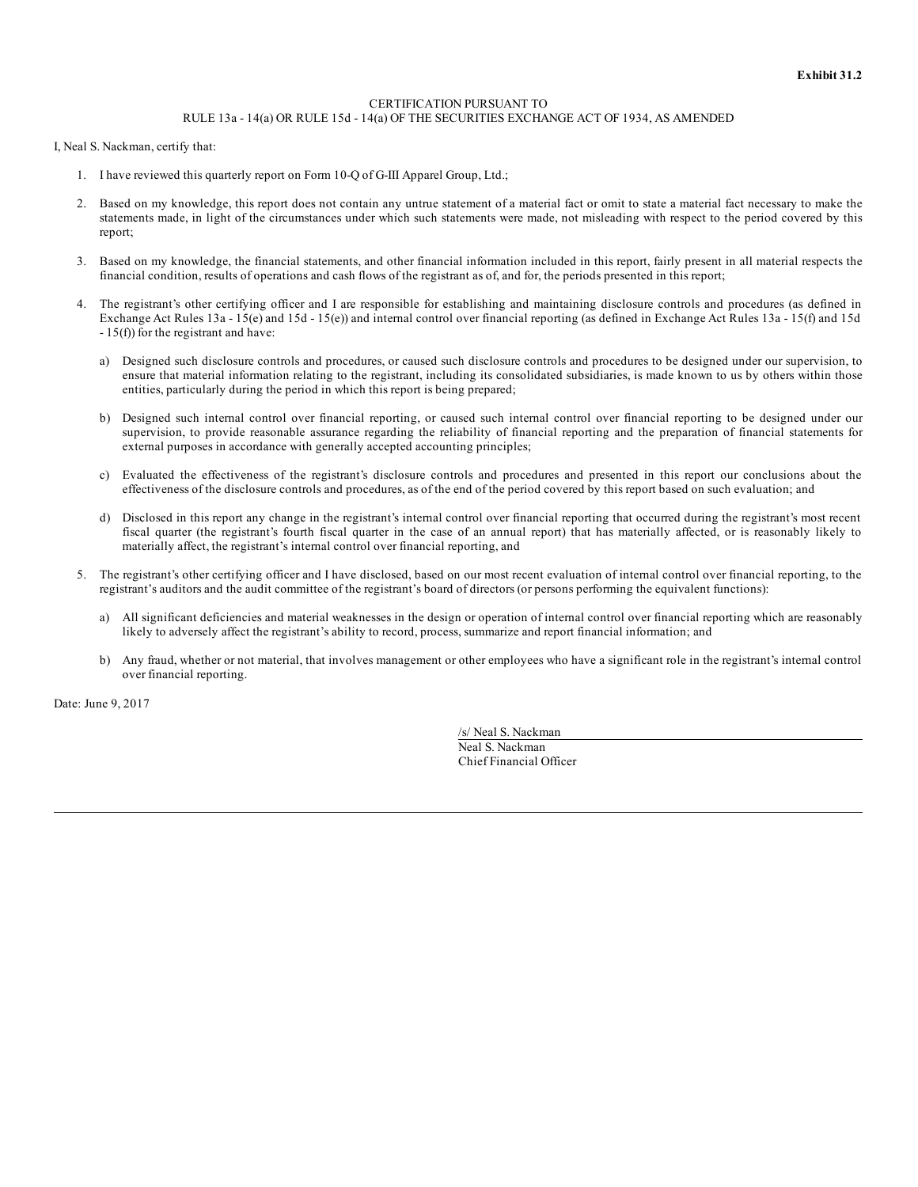#### CERTIFICATION PURSUANT TO RULE 13a - 14(a) OR RULE 15d - 14(a) OF THE SECURITIES EXCHANGE ACT OF 1934, AS AMENDED

I, Neal S. Nackman, certify that:

- 1. I have reviewed this quarterly report on Form 10-Q of G-III Apparel Group, Ltd.;
- 2. Based on my knowledge, this report does not contain any untrue statement of a material fact or omit to state a material fact necessary to make the statements made, in light of the circumstances under which such statements were made, not misleading with respect to the period covered by this report;
- 3. Based on my knowledge, the financial statements, and other financial information included in this report, fairly present in all material respects the financial condition, results of operations and cash flows of the registrant as of, and for, the periods presented in this report;
- 4. The registrant's other certifying officer and I are responsible for establishing and maintaining disclosure controls and procedures (as defined in Exchange Act Rules 13a - 15(e) and 15d - 15(e)) and internal control over financial reporting (as defined in Exchange Act Rules 13a - 15(f) and 15d - 15(f)) for the registrant and have:
	- a) Designed such disclosure controls and procedures, or caused such disclosure controls and procedures to be designed under our supervision, to ensure that material information relating to the registrant, including its consolidated subsidiaries, is made known to us by others within those entities, particularly during the period in which this report is being prepared;
	- b) Designed such internal control over financial reporting, or caused such internal control over financial reporting to be designed under our supervision, to provide reasonable assurance regarding the reliability of financial reporting and the preparation of financial statements for external purposes in accordance with generally accepted accounting principles;
	- c) Evaluated the effectiveness of the registrant's disclosure controls and procedures and presented in this report our conclusions about the effectiveness of the disclosure controls and procedures, as of the end of the period covered by this report based on such evaluation; and
	- d) Disclosed in this report any change in the registrant's internal control over financial reporting that occurred during the registrant's most recent fiscal quarter (the registrant's fourth fiscal quarter in the case of an annual report) that has materially affected, or is reasonably likely to materially affect, the registrant's internal control over financial reporting, and
- 5. The registrant's other certifying officer and I have disclosed, based on our most recent evaluation of internal control over financial reporting, to the registrant's auditors and the audit committee of the registrant's board of directors (or persons performing the equivalent functions):
	- a) All significant deficiencies and material weaknesses in the design or operation of internal control over financial reporting which are reasonably likely to adversely affect the registrant's ability to record, process, summarize and report financial information; and
	- b) Any fraud, whether or not material, that involves management or other employees who have a significant role in the registrant's internal control over financial reporting.

Date: June 9, 2017

/s/ Neal S. Nackman Neal S. Nackman Chief Financial Officer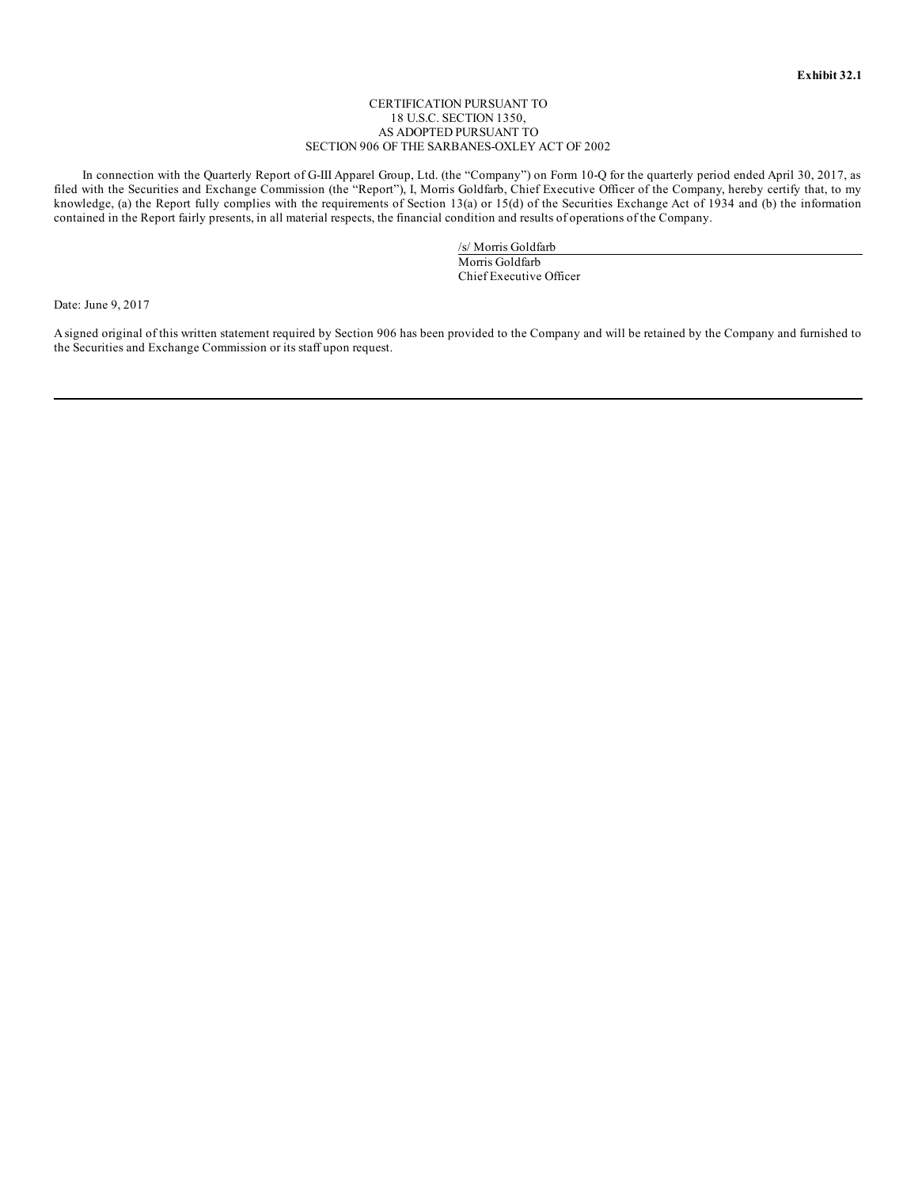#### CERTIFICATION PURSUANT TO 18 U.S.C. SECTION 1350, AS ADOPTED PURSUANT TO SECTION 906 OF THE SARBANES-OXLEY ACT OF 2002

In connection with the Quarterly Report of G-III Apparel Group, Ltd. (the "Company") on Form 10-Q for the quarterly period ended April 30, 2017, as filed with the Securities and Exchange Commission (the "Report"), I, Morris Goldfarb, Chief Executive Officer of the Company, hereby certify that, to my knowledge, (a) the Report fully complies with the requirements of Section 13(a) or 15(d) of the Securities Exchange Act of 1934 and (b) the information contained in the Report fairly presents, in all material respects, the financial condition and results of operations of the Company.

> /s/ Morris Goldfarb Morris Goldfarb Chief Executive Officer

Date: June 9, 2017

Asigned original of this written statement required by Section 906 has been provided to the Company and will be retained by the Company and furnished to the Securities and Exchange Commission or its staff upon request.